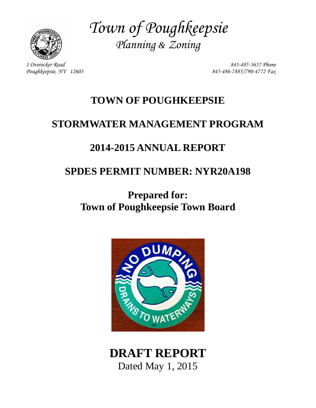

*Town of Poughkeepsie Planning & Zoning* 

*1 Overocker Road 845-485-3657 Phone Poughkeepsie, NY 12603 845-486-7885/790-4772 Fax* 

# **TOWN OF POUGHKEEPSIE**

# **STORMWATER MANAGEMENT PROGRAM**

# **2014-2015 ANNUAL REPORT**

# **SPDES PERMIT NUMBER: NYR20A198**

# **Prepared for: Town of Poughkeepsie Town Board**



# **DRAFT REPORT**  Dated May 1, 2015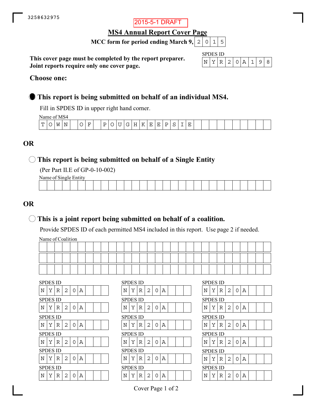## 2015-5-1 DRAFT

**MS4 Annual Report Cover Page**

**MCC form for period ending March 9,**  $\mid 2 \mid 0 \mid 1 \mid 5$ 

**This cover page must be completed by the report preparer. Joint reports require only one cover page.**

| SPD <sub>k</sub><br>S 11) |  |           |     |  |  |  |  |  |  |  |  |  |
|---------------------------|--|-----------|-----|--|--|--|--|--|--|--|--|--|
|                           |  | - 12<br>H | 2 I |  |  |  |  |  |  |  |  |  |

#### **Choose one:**

## **This report is being submitted on behalf of an individual MS4.**

Fill in SPDES ID in upper right hand corner.

Name of MS4

|        | 1.011100111101 |   |        |   |                                     |                               |   |   |   |          |          |    |    |    |  |  |  |  |  |  |  |
|--------|----------------|---|--------|---|-------------------------------------|-------------------------------|---|---|---|----------|----------|----|----|----|--|--|--|--|--|--|--|
| m<br>- |                | W | N<br>. | ∼ | $\overline{\phantom{0}}$<br>н.<br>- | $\overline{\phantom{0}}$<br>້ | ∼ | ◡ | ∼ | -<br>. . | n<br>. . | н. | н. | L. |  |  |  |  |  |  |  |
|        |                |   |        |   |                                     |                               |   |   |   |          |          |    |    |    |  |  |  |  |  |  |  |

## **OR**

## **This report is being submitted on behalf of a Single Entity**

(Per Part II.E of GP-0-10-002)

Name of Single Entity

|  |  |  |  |  |  |  |  |  |  |  |  |  |  | the contract of the contract of |
|--|--|--|--|--|--|--|--|--|--|--|--|--|--|---------------------------------|
|  |  |  |  |  |  |  |  |  |  |  |  |  |  |                                 |

## **OR**

## **This is a joint report being submitted on behalf of a coalition.**

Provide SPDES ID of each permitted MS4 included in this report. Use page 2 if needed.

Name of Coalition

|                 | <b>SPDES ID</b> |   |   |          |   |  |  | <b>SPDES ID</b> |   |   |   |          |   |  |  | <b>SPDES ID</b> |   |   |
|-----------------|-----------------|---|---|----------|---|--|--|-----------------|---|---|---|----------|---|--|--|-----------------|---|---|
| Ν               | Υ               | R | 2 | 0        | Α |  |  | N               | Υ | R | 2 | 0        | Α |  |  | N               | Υ | R |
|                 | <b>SPDES ID</b> |   |   |          |   |  |  | <b>SPDES ID</b> |   |   |   |          |   |  |  | <b>SPDES ID</b> |   |   |
| N               | Y               | R | 2 | $\Omega$ | Α |  |  | N               | Y | R | 2 | $\Omega$ | Α |  |  | N               | Υ | R |
|                 | <b>SPDES ID</b> |   |   |          |   |  |  | <b>SPDES ID</b> |   |   |   |          |   |  |  | <b>SPDES ID</b> |   |   |
| N               | Y               | R | 2 | 0        | Α |  |  | N               | Υ | R | 2 | 0        | Α |  |  | N               | Υ | R |
|                 |                 |   |   |          |   |  |  |                 |   |   |   |          |   |  |  |                 |   |   |
| <b>SPDES ID</b> |                 |   |   |          |   |  |  | <b>SPDES ID</b> |   |   |   |          |   |  |  | <b>SPDES ID</b> |   |   |
| N               | Y               | R | 2 | 0        | Α |  |  | N               | Υ | R | 2 | 0        | Α |  |  | N               | Υ | R |
|                 | <b>SPDES ID</b> |   |   |          |   |  |  | <b>SPDES ID</b> |   |   |   |          |   |  |  | <b>SPDES ID</b> |   |   |
| Ν               | Υ               | R | 2 | 0        | Α |  |  | N               | Υ | R | 2 | 0        | Α |  |  | N               | Υ | R |
|                 | <b>SPDES ID</b> |   |   |          |   |  |  | <b>SPDES ID</b> |   |   |   |          |   |  |  | <b>SPDES ID</b> |   |   |

|   | <b>SPDES ID</b> |   |   |          |   |  |                 |   | <b>SPDES ID</b> |   |   |          |   |  |  |  |  | <b>SPDES ID</b> |   |   |   |          |   |
|---|-----------------|---|---|----------|---|--|-----------------|---|-----------------|---|---|----------|---|--|--|--|--|-----------------|---|---|---|----------|---|
| N | Υ               | R | 2 | $\Omega$ | A |  |                 | N | Υ               | R | 2 | 0        | Α |  |  |  |  | N               | Υ | R | 2 | 0        | Α |
|   | <b>SPDES ID</b> |   |   |          |   |  |                 |   | <b>SPDES ID</b> |   |   |          |   |  |  |  |  | <b>SPDES ID</b> |   |   |   |          |   |
| Ν | Υ               | R | 2 | $\Omega$ | Α |  |                 | N | Υ               | R | 2 | 0        | Α |  |  |  |  | Ν               | Υ | R | 2 | 0        | Α |
|   | SPDES ID        |   |   |          |   |  | <b>SPDES ID</b> |   |                 |   |   |          |   |  |  |  |  | <b>SPDES ID</b> |   |   |   |          |   |
| N | Υ               | R | 2 | 0        | A |  |                 | N | Y               | R | 2 | $\Omega$ | Α |  |  |  |  | N               | Y | R | 2 | $\Omega$ | Α |
|   | SPDES ID        |   |   |          |   |  |                 |   | <b>SPDES ID</b> |   |   |          |   |  |  |  |  | <b>SPDES ID</b> |   |   |   |          |   |
| N | Υ               | R | 2 | 0        | Α |  |                 | N | Y               | R | 2 | 0        | Α |  |  |  |  | N               | Υ | R | 2 | 0        | Α |
|   | SPDES ID        |   |   |          |   |  |                 |   | <b>SPDES ID</b> |   |   |          |   |  |  |  |  | <b>SPDES ID</b> |   |   |   |          |   |
| N | Υ               | R | 2 | O        | A |  |                 | N | Y               | R | 2 | O        | Α |  |  |  |  | N               | Υ | R | 2 | 0        | Α |
|   | SPDES ID        |   |   |          |   |  |                 |   | <b>SPDES ID</b> |   |   |          |   |  |  |  |  | <b>SPDES ID</b> |   |   |   |          |   |
| Ν | Υ               | R | 2 | 0        | Α |  |                 | N | Y               | R | 2 | 0        | Α |  |  |  |  | N               | Y | R | 2 | 0        | Α |
|   |                 |   |   |          |   |  |                 |   |                 |   |   |          |   |  |  |  |  |                 |   |   |   |          |   |

|   | SPDES ID<br>$\overline{c}$<br>$\mathbf 0$<br>Y<br>$\overline{A}$<br>R<br>SPDES ID<br>$\overline{2}$<br>Υ<br>$\Omega$<br>Α<br>R<br>$\overline{c}$<br>0<br>Y<br>Α<br>R<br>$\overline{2}$<br>Υ<br>$\Omega$<br>Α<br>R<br>SPDES ID<br>$\overline{2}$<br>Y<br>0<br>A<br>R<br>SPDES ID |   |                |   |   |  |  |  |  |  |  |  |  |  |  |
|---|---------------------------------------------------------------------------------------------------------------------------------------------------------------------------------------------------------------------------------------------------------------------------------|---|----------------|---|---|--|--|--|--|--|--|--|--|--|--|
| N |                                                                                                                                                                                                                                                                                 |   |                |   |   |  |  |  |  |  |  |  |  |  |  |
|   |                                                                                                                                                                                                                                                                                 |   |                |   |   |  |  |  |  |  |  |  |  |  |  |
| N |                                                                                                                                                                                                                                                                                 |   |                |   |   |  |  |  |  |  |  |  |  |  |  |
|   | SPDES ID                                                                                                                                                                                                                                                                        |   |                |   |   |  |  |  |  |  |  |  |  |  |  |
| Ν |                                                                                                                                                                                                                                                                                 |   |                |   |   |  |  |  |  |  |  |  |  |  |  |
|   | SPDES ID                                                                                                                                                                                                                                                                        |   |                |   |   |  |  |  |  |  |  |  |  |  |  |
| N |                                                                                                                                                                                                                                                                                 |   |                |   |   |  |  |  |  |  |  |  |  |  |  |
|   |                                                                                                                                                                                                                                                                                 |   |                |   |   |  |  |  |  |  |  |  |  |  |  |
| N |                                                                                                                                                                                                                                                                                 |   |                |   |   |  |  |  |  |  |  |  |  |  |  |
|   |                                                                                                                                                                                                                                                                                 |   |                |   |   |  |  |  |  |  |  |  |  |  |  |
| N | Y                                                                                                                                                                                                                                                                               | R | $\overline{2}$ | ∩ | А |  |  |  |  |  |  |  |  |  |  |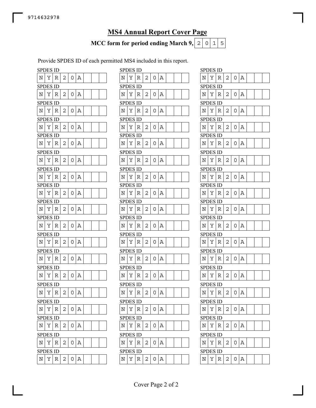## **MS4 Annual Report Cover Page**

**MCC form for period ending March 9,**  $\mid 2 \mid 0 \mid 1 \mid 5$ 

Provide SPDES ID of each permitted MS4 included in this report.

|   | <b>SPDES ID</b> |   |                |   |   |  | <b>SPDES ID</b> |
|---|-----------------|---|----------------|---|---|--|-----------------|
| Ν | Υ               | R | 2              | 0 | Α |  | Υ<br>Ν<br>R     |
|   | SPDES ID        |   |                |   |   |  | <b>SPDES ID</b> |
| N | Υ               | R | $\overline{c}$ | O | Α |  | Υ<br>N<br>R     |
|   | SPDES ID        |   |                |   |   |  | <b>SPDES ID</b> |
| Ν | Υ               | R | 2              | 0 | Α |  | Υ<br>Ν<br>R     |
|   | SPDES ID        |   |                |   |   |  | SPDES ID        |
| Ν | Υ               | R | 2              | 0 | Α |  | Υ<br>Ν<br>R     |
|   | <b>SPDES ID</b> |   |                |   |   |  | <b>SPDES ID</b> |
| N | Υ               | R | 2              | 0 | Α |  | Υ<br>Ν<br>R     |
|   | SPDES ID        |   |                |   |   |  | <b>SPDES ID</b> |
| Ν | Υ               | R | 2              | 0 | Α |  | Υ<br>Ν<br>R     |
|   | SPDES ID        |   |                |   |   |  | SPDES ID        |
| N | Υ               | R | 2              | 0 | Α |  | Υ<br>N<br>R     |
|   | <b>SPDES ID</b> |   |                |   |   |  | <b>SPDES ID</b> |
| N | Υ               | R | $\overline{c}$ | O | Α |  | Υ<br>N<br>R     |
|   | SPDES ID        |   |                |   |   |  | <b>SPDES ID</b> |
| N | Υ               | R | 2              | 0 | Α |  | Υ<br>N<br>R     |
|   | SPDES ID        |   |                |   |   |  | SPDES ID        |
| N | Υ               | R | 2              | 0 | Α |  | Υ<br>N<br>R     |
|   | <b>SPDES ID</b> |   |                |   |   |  | <b>SPDES ID</b> |
| Ν | Υ               | R | 2              | 0 | Α |  | Υ<br>Ν<br>R     |
|   | SPDES ID        |   |                |   |   |  | <b>SPDES ID</b> |
| N | Υ               | R | 2              | 0 | Α |  | N<br>Υ<br>R     |
|   | SPDES ID        |   |                |   |   |  | SPDES ID        |
| Ν | Υ               | R | 2              | 0 | Α |  | Ν<br>Υ<br>R     |
|   | SPDES ID        |   |                |   |   |  | <b>SPDES ID</b> |
| Ν | Υ               | R | 2              | 0 | Α |  | Υ<br>N<br>R     |
|   | <b>SPDES ID</b> |   |                |   |   |  | <b>SPDES ID</b> |
| N | Υ               | R | 2              | 0 | Α |  | Υ<br>Ν<br>R     |
|   | <b>SPDES ID</b> |   |                |   |   |  | <b>SPDES ID</b> |
| Ν | Υ               | R | 2              | 0 | Α |  | Υ<br>Ν<br>R     |
|   | SPDES ID        |   |                |   |   |  | <b>SPDES ID</b> |
| N | Υ               | R | 2              | 0 | Α |  | Υ<br>N<br>R     |
|   | <b>SPDES ID</b> |   |                |   |   |  | SPDES ID        |
| N | Υ               | R | 2              | 0 | Α |  | Y<br>N<br>R     |

|   | SPDES ID        |             |   |                |   |  |  |            | <b>SPDES ID</b> |             |   |   |   |  |  | <b>SPDES ID</b> |   |             |   |                |   |
|---|-----------------|-------------|---|----------------|---|--|--|------------|-----------------|-------------|---|---|---|--|--|-----------------|---|-------------|---|----------------|---|
| N | Υ               | $\mathbb R$ | 2 | 0 <sup>1</sup> | Α |  |  | N          | Υ               | R           | 2 | 0 | Α |  |  | N               | Υ | R           | 2 | $\overline{O}$ | A |
|   | SPDES ID        |             |   |                |   |  |  |            | <b>SPDES ID</b> |             |   |   |   |  |  | <b>SPDES ID</b> |   |             |   |                |   |
| N | Υ               | R           | 2 | 0              | Α |  |  | N          | Υ               | R           | 2 | 0 | Α |  |  | N               | Υ | R           | 2 | 0              | Α |
|   | <b>SPDES ID</b> |             |   |                |   |  |  |            | <b>SPDES ID</b> |             |   |   |   |  |  | <b>SPDES ID</b> |   |             |   |                |   |
| N | Υ               | R           | 2 | 0              | Α |  |  | Ν          | Υ               | R           | 2 | 0 | Α |  |  | Ν               | Υ | R           | 2 | 0              | Α |
|   | <b>SPDES ID</b> |             |   |                |   |  |  |            | <b>SPDES ID</b> |             |   |   |   |  |  | <b>SPDES ID</b> |   |             |   |                |   |
| Ν | Υ               | $\mathbb R$ | 2 | 0              | Α |  |  | Ν          | Y               | R           | 2 | 0 | Α |  |  | N               | Υ | R           | 2 | 0   A          |   |
|   | <b>SPDES ID</b> |             |   |                |   |  |  |            | <b>SPDES ID</b> |             |   |   |   |  |  | <b>SPDES ID</b> |   |             |   |                |   |
| N | Υ               | R           | 2 | 0              | Α |  |  | N          | Υ               | R           | 2 | 0 | Α |  |  | Ν               | Υ | R           | 2 | 0 A            |   |
|   | <b>SPDES ID</b> |             |   |                |   |  |  |            | <b>SPDES ID</b> |             |   |   |   |  |  | <b>SPDES ID</b> |   |             |   |                |   |
| Ν | Υ               | R           | 2 | 0              | Α |  |  | Ν          | Υ               | R           | 2 | 0 | Α |  |  | N               | Υ | R           | 2 | 0              | Α |
|   | SPDES ID        |             |   |                |   |  |  |            | <b>SPDES ID</b> |             |   |   |   |  |  | <b>SPDES ID</b> |   |             |   |                |   |
| N | Υ               | $\mathbb R$ | 2 | 0              | Α |  |  | N          | Υ               | R           | 2 | 0 | Α |  |  | N               | Υ | R           | 2 | $0 \mid A$     |   |
|   | <b>SPDES ID</b> |             |   |                |   |  |  |            | <b>SPDES ID</b> |             |   |   |   |  |  | <b>SPDES ID</b> |   |             |   |                |   |
| N | Υ               | R           | 2 | 0              | Α |  |  | N          | Υ               | R           | 2 | 0 | Α |  |  | N               | Υ | R           | 2 | 0              | Α |
|   | <b>SPDES ID</b> |             |   |                |   |  |  |            | <b>SPDES ID</b> |             |   |   |   |  |  | <b>SPDES ID</b> |   |             |   |                |   |
| N | Υ               | R           | 2 | 0              | Α |  |  | N          | Υ               | R           | 2 | 0 | Α |  |  | N               | Υ | R           | 2 | 0              | Α |
|   | SPDES ID        |             |   |                |   |  |  |            | <b>SPDES ID</b> |             |   |   |   |  |  | <b>SPDES ID</b> |   |             |   |                |   |
| Ν | Υ               | $\mathbb R$ | 2 | 0              | Α |  |  | N          | Υ               | $\mathbb R$ | 2 | 0 | Α |  |  | Ν               | Υ | $\mathbb R$ | 2 | 0              | Α |
|   | <b>SPDES ID</b> |             |   |                |   |  |  |            | <b>SPDES ID</b> |             |   |   |   |  |  | <b>SPDES ID</b> |   |             |   |                |   |
| N | Υ               | R           | 2 | 0              | Α |  |  | N          | Υ               | R           | 2 | 0 | Α |  |  | N               | Υ | R           | 2 | 0 A            |   |
|   | <b>SPDES ID</b> |             |   |                |   |  |  |            | <b>SPDES ID</b> |             |   |   |   |  |  | <b>SPDES ID</b> |   |             |   |                |   |
| N | Υ               | R           | 2 | 0              | Α |  |  | N          | Υ               | R           | 2 | 0 | Α |  |  | N               | Υ | R           | 2 | 0              | Α |
|   | <b>SPDES ID</b> |             |   |                |   |  |  |            | <b>SPDES ID</b> |             |   |   |   |  |  | <b>SPDES ID</b> |   |             |   |                |   |
| Ν | Υ               | $\mathbb R$ | 2 | 0              | Α |  |  | Ν          | Υ               | R           | 2 | 0 | Α |  |  | N               | Υ | R           | 2 | $0 \mid A$     |   |
|   | <b>SPDES ID</b> |             |   |                |   |  |  |            | <b>SPDES ID</b> |             |   |   |   |  |  | <b>SPDES ID</b> |   |             |   |                |   |
| N | Υ               | R           | 2 | 0              | Α |  |  | N          | Υ               | R           | 2 | 0 | Α |  |  | N               | Υ | R           | 2 | 0              | Α |
|   | <b>SPDES ID</b> |             |   |                |   |  |  |            | <b>SPDES ID</b> |             |   |   |   |  |  | <b>SPDES ID</b> |   |             |   |                |   |
| N | Y               | $\mathbb R$ | 2 | 0 <sup>1</sup> | Α |  |  | N          | Υ               | R           | 2 | 0 | Α |  |  | Ν               | Υ | R           | 2 | 0              | Α |
|   | <b>SPDES ID</b> |             |   |                |   |  |  |            | <b>SPDES ID</b> |             |   |   |   |  |  | <b>SPDES ID</b> |   |             |   |                |   |
| N | Υ               | R           | 2 | 0              | Α |  |  | Ν          | Y               | R           | 2 | 0 | Α |  |  | N               | Υ | R           | 2 | 0              | Α |
|   | <b>SPDES ID</b> |             |   |                |   |  |  |            | <b>SPDES ID</b> |             |   |   |   |  |  | <b>SPDES ID</b> |   |             |   |                |   |
| Ν | Υ               | R           | 2 | 0              | Α |  |  | Ν          | Υ               | R           | 2 | 0 | Α |  |  | Ν               | Υ | R           | 2 | 0              | Α |
|   | <b>SPDES ID</b> |             |   |                |   |  |  |            | <b>SPDES ID</b> |             |   |   |   |  |  | <b>SPDES ID</b> |   |             |   |                |   |
| N | Y               | $\mathbb R$ | 2 | 0              | Α |  |  | $_{\rm N}$ | Y               | $\mathbb R$ | 2 | 0 | Α |  |  | Ν               | Υ | R           | 2 | 0              | Α |
|   |                 |             |   |                |   |  |  |            |                 |             |   |   |   |  |  |                 |   |             |   |                |   |

| SPDES ID        |   |    |                         |   |   |  |  |
|-----------------|---|----|-------------------------|---|---|--|--|
| N               | Υ | R  | 2                       | 0 | Α |  |  |
| SPDES ID        |   |    |                         |   |   |  |  |
| N               | Υ | R  | 2                       | 0 | А |  |  |
| SPDES ID        |   |    |                         |   |   |  |  |
| N               | Υ | R  | 2                       | 0 | Α |  |  |
| SPDES ID        |   |    |                         |   |   |  |  |
| N               | Υ | R  | 2                       | 0 | Α |  |  |
| SPDES ID        |   |    |                         |   |   |  |  |
| N               | Υ | R  | 2                       | 0 | Α |  |  |
| <b>SPDES ID</b> |   |    |                         |   |   |  |  |
| N               | Υ | R  | 2                       | 0 | Α |  |  |
| SPDES ID        |   |    |                         |   |   |  |  |
| N               | Υ | R  | $\overline{c}$          | 0 | Α |  |  |
| <b>SPDES ID</b> |   |    |                         |   |   |  |  |
| N               | Υ | R  | 2                       | 0 | Α |  |  |
| <b>SPDES ID</b> |   |    |                         |   |   |  |  |
| N               | Υ | R  | 2                       | 0 | Α |  |  |
| SPDES ID        |   |    |                         |   |   |  |  |
| N               | Υ | R  | 2                       | 0 | Α |  |  |
| SPDES ID        |   |    |                         |   |   |  |  |
| N               | Υ | R  | 2                       | 0 | Α |  |  |
| <b>SPDES ID</b> |   |    |                         |   |   |  |  |
| N               | Υ | R  | 2                       | 0 | Α |  |  |
| <b>SPDES ID</b> |   |    |                         |   |   |  |  |
| Ν               | Υ | R  | 2                       | 0 | Α |  |  |
| SPDES ID        |   |    |                         |   |   |  |  |
| $\mathbb N$     | Y | R  | 2                       | 0 | Ą |  |  |
| <b>SPDES ID</b> |   |    |                         |   |   |  |  |
| Ν               | Υ | R  | 2                       | 0 | А |  |  |
| <b>SPDES ID</b> |   |    |                         |   |   |  |  |
| N               | Υ | R  | 2                       | 0 | Α |  |  |
| SPDES ID        |   |    |                         |   |   |  |  |
| N               | Υ | R  | 2                       | 0 | Α |  |  |
| SPDES           |   | ID |                         |   |   |  |  |
| N               | Υ | R  | $\overline{\mathbf{c}}$ | 0 | Α |  |  |
|                 |   |    |                         |   |   |  |  |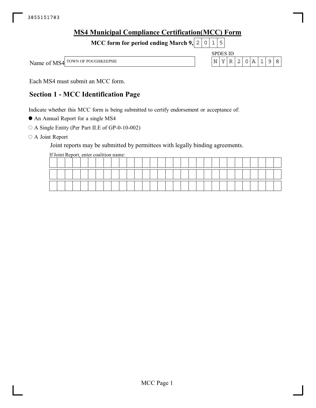| <b>MS4 Municipal Compliance Certification (MCC) Form</b> |             |                 |                |  |         |     |  |
|----------------------------------------------------------|-------------|-----------------|----------------|--|---------|-----|--|
| MCC form for period ending March 9, $2   0   1   5$      |             |                 |                |  |         |     |  |
|                                                          |             | <b>SPDES ID</b> |                |  |         |     |  |
| Name of MS4 TOWN OF POUGHKEEPSIE                         | $\mathbb N$ | Y l             | R <sub>1</sub> |  | 2 0 A 1 | 198 |  |
|                                                          |             |                 |                |  |         |     |  |

Each MS4 must submit an MCC form.

## **Section 1 - MCC Identification Page**

Indicate whether this MCC form is being submitted to certify endorsement or acceptance of:

An Annual Report for a single MS4

A Single Entity (Per Part II.E of GP-0-10-002)

O A Joint Report

Joint reports may be submitted by permittees with legally binding agreements.

If Joint Report, enter coalition name: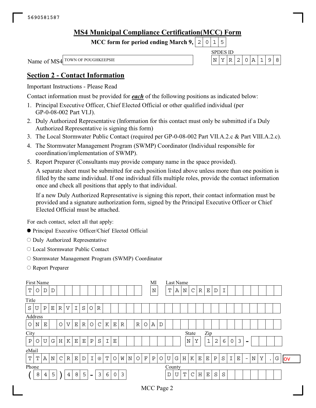## **MS4 Municipal Compliance Certification(MCC) Form**

**MCC form for period ending March 9,**  $0|1|5$ 

SPDES ID Name of MS4 <sup>TOWN OF POUGHKEEPSIE</sup>  $N \mid Y \mid R \mid 2 \mid 0 \mid A \mid 1 \mid 9 \mid 8$ 

## **Section 2 - Contact Information**

Important Instructions - Please Read

Contact information must be provided for *each* of the following positions as indicated below:

- 1. Principal Executive Officer, Chief Elected Official or other qualified individual (per GP-0-08-002 Part VI.J).
- 2. Duly Authorized Representative (Information for this contact must only be submitted if a Duly Authorized Representative is signing this form)
- 3. The Local Stormwater Public Contact (required per GP-0-08-002 Part VII.A.2.c & Part VIII.A.2.c).
- 4. The Stormwater Management Program (SWMP) Coordinator (Individual responsible for coordination/implementation of SWMP).
- 5. Report Preparer (Consultants may provide company name in the space provided).

A separate sheet must be submitted for each position listed above unless more than one position is filled by the same individual. If one individual fills multiple roles, provide the contact information once and check all positions that apply to that individual.

If a new Duly Authorized Representative is signing this report, their contact information must be provided and a signature authorization form, signed by the Principal Executive Officer or Chief Elected Official must be attached.

For each contact, select all that apply:

- Principal Executive Officer/Chief Elected Official
- O Duly Authorized Representative
- Local Stormwater Public Contact
- $\circ$  Stormwater Management Program (SWMP) Coordinator
- O Report Preparer

|                                                                                                                                                                                                                                                                           | First Name      |                  |   |   |             |             |             |                |                           |   |         |   |         |   | MI          |              |   | Last Name |   |             |              |             |             |             |         |   |   |                          |   |   |           |   |           |
|---------------------------------------------------------------------------------------------------------------------------------------------------------------------------------------------------------------------------------------------------------------------------|-----------------|------------------|---|---|-------------|-------------|-------------|----------------|---------------------------|---|---------|---|---------|---|-------------|--------------|---|-----------|---|-------------|--------------|-------------|-------------|-------------|---------|---|---|--------------------------|---|---|-----------|---|-----------|
| T                                                                                                                                                                                                                                                                         | $\circ$         | $\mathbf D$<br>D |   |   |             |             |             |                |                           |   |         |   |         |   |             |              |   | Т         | Α | $\mathbb N$ | $\mathsf{C}$ | $\mathbb R$ | $\mathbf E$ | $\mathbf D$ | ᠇       |   |   |                          |   |   |           |   |           |
| Title                                                                                                                                                                                                                                                                     |                 |                  |   |   |             |             |             |                |                           |   |         |   |         |   |             |              |   |           |   |             |              |             |             |             |         |   |   |                          |   |   |           |   |           |
| Ι<br>S<br>Ρ<br>$\mathbf E$<br>$\mathbb R$<br>V<br>S<br>$\mathbb R$<br>U<br>$\circ$<br>Address<br>$\circ$<br>$\mathbf V$<br>$\mathbf{E}% _{t}$<br>$\mathbb R$<br>$\circ$<br>$\mathsf{C}$<br>$\mathbb R$<br>$\circ$<br>A<br>K<br>Ε<br>$\circ$<br>Е<br>R<br>D<br>$\mathbf N$ |                 |                  |   |   |             |             |             |                |                           |   |         |   |         |   |             |              |   |           |   |             |              |             |             |             |         |   |   |                          |   |   |           |   |           |
|                                                                                                                                                                                                                                                                           |                 |                  |   |   |             |             |             |                |                           |   |         |   |         |   |             |              |   |           |   |             |              |             |             |             |         |   |   |                          |   |   |           |   |           |
| Zip<br>City<br>State<br>$\mathfrak{Z}$<br>K<br>$\rm P$<br>$\mathbf N$<br>$\mathbf{1}$<br>$\rm P$<br>$\mathbf U$<br>G<br>H<br>$\mathbf E$<br>$\mathbf E$<br>Ι<br>Y<br>$\overline{2}$<br>6<br>$\mathsf{O}\xspace$<br>$\mathbf E$<br>Ο<br>$\overline{\phantom{0}}$           |                 |                  |   |   |             |             |             |                |                           |   |         |   |         |   |             |              |   |           |   |             |              |             |             |             |         |   |   |                          |   |   |           |   |           |
| $\rm S$                                                                                                                                                                                                                                                                   |                 |                  |   |   |             |             |             |                |                           |   |         |   |         |   |             |              |   |           |   |             |              |             |             |             |         |   |   |                          |   |   |           |   |           |
|                                                                                                                                                                                                                                                                           |                 |                  |   |   |             |             |             |                |                           |   |         |   |         |   |             |              |   |           |   |             |              |             |             |             |         |   |   |                          |   |   |           |   |           |
|                                                                                                                                                                                                                                                                           | eMail           |                  |   |   |             |             |             |                |                           |   |         |   |         |   |             |              |   |           |   |             |              |             |             |             |         |   |   |                          |   |   |           |   |           |
| Т                                                                                                                                                                                                                                                                         | T               | $\mathbb A$      | N | C | $\mathbb R$ | $\mathbf E$ | $\mathbf D$ | $\mathbf I$    | $^\text{\textregistered}$ | T | $\circ$ | W | $\rm N$ | O | $\mathbf F$ | $\, {\bf P}$ | O | U         | G | $\rm H$     | K            | $\mathbf E$ | $\mathbf E$ | $\rm P$     | $\rm S$ | I | Е | $\overline{\phantom{a}}$ | N | Y | $\bullet$ | G | <b>OV</b> |
|                                                                                                                                                                                                                                                                           | Phone<br>County |                  |   |   |             |             |             |                |                           |   |         |   |         |   |             |              |   |           |   |             |              |             |             |             |         |   |   |                          |   |   |           |   |           |
|                                                                                                                                                                                                                                                                           | 8               | 4                | 5 |   | 4           | 8           | 5           | $\blacksquare$ | 3                         | 6 | 0       | 3 |         |   |             |              |   | D         | U | Т           | $\mathsf{C}$ | Η           | Ε           | $\rm S$     | S       |   |   |                          |   |   |           |   |           |
|                                                                                                                                                                                                                                                                           |                 |                  |   |   |             |             |             |                |                           |   |         |   |         |   |             |              |   |           |   |             |              |             |             |             |         |   |   |                          |   |   |           |   |           |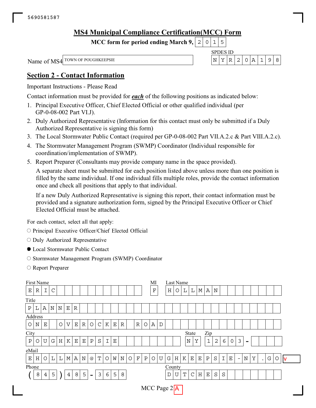## **MS4 Municipal Compliance Certification(MCC) Form**

**MCC form for period ending March 9,**  $0|1|5$ 

Name of MS4 <sup>TOWN OF POUGHKEEPSIE</sup>  $N \mid Y \mid R \mid 2 \mid 0 \mid A \mid 1 \mid 9 \mid 8$ 

SPDES ID

## **Section 2 - Contact Information**

Important Instructions - Please Read

Contact information must be provided for *each* of the following positions as indicated below:

- 1. Principal Executive Officer, Chief Elected Official or other qualified individual (per GP-0-08-002 Part VI.J).
- 2. Duly Authorized Representative (Information for this contact must only be submitted if a Duly Authorized Representative is signing this form)
- 3. The Local Stormwater Public Contact (required per GP-0-08-002 Part VII.A.2.c & Part VIII.A.2.c).
- 4. The Stormwater Management Program (SWMP) Coordinator (Individual responsible for coordination/implementation of SWMP).
- 5. Report Preparer (Consultants may provide company name in the space provided).

A separate sheet must be submitted for each position listed above unless more than one position is filled by the same individual. If one individual fills multiple roles, provide the contact information once and check all positions that apply to that individual.

If a new Duly Authorized Representative is signing this report, their contact information must be provided and a signature authorization form, signed by the Principal Executive Officer or Chief Elected Official must be attached.

For each contact, select all that apply:

 $\circ$  Principal Executive Officer/Chief Elected Official

- O Duly Authorized Representative
- Local Stormwater Public Contact
- $\circ$  Stormwater Management Program (SWMP) Coordinator
- O Report Preparer

|                                                                                                                                                                                       | First Name                                                                                                                                                                      |             |             |   |             |   |             |                           |         |             |             |             |   |             |              | MI          |             |   | Last Name       |   |         |             |              |                |   |                |          |                          |   |           |   |   |    |
|---------------------------------------------------------------------------------------------------------------------------------------------------------------------------------------|---------------------------------------------------------------------------------------------------------------------------------------------------------------------------------|-------------|-------------|---|-------------|---|-------------|---------------------------|---------|-------------|-------------|-------------|---|-------------|--------------|-------------|-------------|---|-----------------|---|---------|-------------|--------------|----------------|---|----------------|----------|--------------------------|---|-----------|---|---|----|
| Ε                                                                                                                                                                                     | ${\mathbb R}$                                                                                                                                                                   | I           | $\mathsf C$ |   |             |   |             |                           |         |             |             |             |   |             |              | $\mathbf F$ |             | H | O               | L | Г       | М           | Α            | N              |   |                |          |                          |   |           |   |   |    |
| Title                                                                                                                                                                                 |                                                                                                                                                                                 |             |             |   |             |   |             |                           |         |             |             |             |   |             |              |             |             |   |                 |   |         |             |              |                |   |                |          |                          |   |           |   |   |    |
| ${\bf P}$                                                                                                                                                                             | L                                                                                                                                                                               | A           | $\rm N$     | N | $\mathbf E$ | R |             |                           |         |             |             |             |   |             |              |             |             |   |                 |   |         |             |              |                |   |                |          |                          |   |           |   |   |    |
|                                                                                                                                                                                       | $\mathsf C$<br>$\mathbb R$<br>Α<br>$\circ$<br>$\boldsymbol{\mathrm{V}}$<br>$\mathbf E$<br>${\mathbb R}$<br>$\circ$<br>K<br>$\circ$<br>N<br>$\mathbf E$<br>$\mathbf E$<br>R<br>D |             |             |   |             |   |             |                           |         |             |             |             |   |             |              |             |             |   |                 |   |         |             |              |                |   |                |          |                          |   |           |   |   |    |
| Address<br>$\circ$<br>City<br>Zip<br>State                                                                                                                                            |                                                                                                                                                                                 |             |             |   |             |   |             |                           |         |             |             |             |   |             |              |             |             |   |                 |   |         |             |              |                |   |                |          |                          |   |           |   |   |    |
|                                                                                                                                                                                       |                                                                                                                                                                                 |             |             |   |             |   |             |                           |         |             |             |             |   |             |              |             |             |   |                 |   |         |             |              |                |   |                |          |                          |   |           |   |   |    |
| $\, {\bf P}$                                                                                                                                                                          | O                                                                                                                                                                               | $\mathbf U$ | G           | Η | К           | Е | $\mathbf E$ | $\rm P$                   | $\rm S$ | $\mathbf I$ | $\mathbf E$ |             |   |             |              |             |             |   |                 |   | $\rm N$ | Υ           | $1\,$        | $\overline{c}$ | 6 | $\overline{0}$ | 3        | $\overline{\phantom{a}}$ |   |           |   |   |    |
| eMail                                                                                                                                                                                 |                                                                                                                                                                                 |             |             |   |             |   |             |                           |         |             |             |             |   |             |              |             |             |   |                 |   |         |             |              |                |   |                |          |                          |   |           |   |   |    |
| $\mathbf E$                                                                                                                                                                           | H                                                                                                                                                                               | $\circ$     | L           | L | $\mathbb M$ | Α | N           | $^\text{\textregistered}$ | Т       | $\circ$     | W           | $\mathbf N$ | O | $\mathbf F$ | $\, {\bf P}$ | $\circ$     | $\mathbf U$ | G | H               | К | Ε       | $\mathbf E$ | $\, {\bf P}$ | $\rm S$        | I | $\mathbf E$    | $\equiv$ | $\rm N$                  | Υ | $\bullet$ | G | Ο | ΙV |
|                                                                                                                                                                                       |                                                                                                                                                                                 |             |             |   |             |   |             |                           |         |             |             |             |   |             |              |             |             |   |                 |   |         |             |              |                |   |                |          |                          |   |           |   |   |    |
| Phone<br>County<br>5<br>8<br>$\mathbf{3}$<br>8<br>5<br>5<br>8<br>$\mathcal{C}$<br>$\rm H$<br>$\mathbf E$<br>$\rm S$<br>6<br>T<br>S<br>$\overline{4}$<br>D<br>U<br>4<br>$\blacksquare$ |                                                                                                                                                                                 |             |             |   |             |   |             |                           |         |             |             |             |   |             |              |             |             |   |                 |   |         |             |              |                |   |                |          |                          |   |           |   |   |    |
|                                                                                                                                                                                       |                                                                                                                                                                                 |             |             |   |             |   |             |                           |         |             |             |             |   |             |              |             |             |   | MCC Page $2 A $ |   |         |             |              |                |   |                |          |                          |   |           |   |   |    |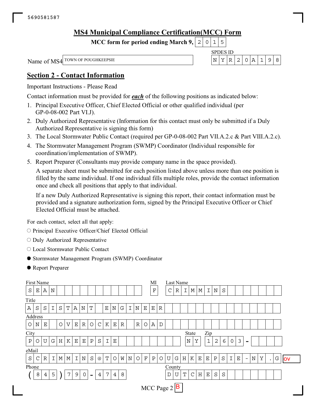## **MS4 Municipal Compliance Certification(MCC) Form**

**MCC form for period ending March 9,**  $0|1|5$ 

SPDES ID Name of MS4 <sup>TOWN OF POUGHKEEPSIE</sup>  $N \mid Y \mid R \mid 2 \mid 0 \mid A \mid 1 \mid 9 \mid 8$ 

## **Section 2 - Contact Information**

Important Instructions - Please Read

Contact information must be provided for *each* of the following positions as indicated below:

- 1. Principal Executive Officer, Chief Elected Official or other qualified individual (per GP-0-08-002 Part VI.J).
- 2. Duly Authorized Representative (Information for this contact must only be submitted if a Duly Authorized Representative is signing this form)
- 3. The Local Stormwater Public Contact (required per GP-0-08-002 Part VII.A.2.c & Part VIII.A.2.c).
- 4. The Stormwater Management Program (SWMP) Coordinator (Individual responsible for coordination/implementation of SWMP).
- 5. Report Preparer (Consultants may provide company name in the space provided).

A separate sheet must be submitted for each position listed above unless more than one position is filled by the same individual. If one individual fills multiple roles, provide the contact information once and check all positions that apply to that individual.

If a new Duly Authorized Representative is signing this report, their contact information must be provided and a signature authorization form, signed by the Principal Executive Officer or Chief Elected Official must be attached.

For each contact, select all that apply:

- $\circ$  Principal Executive Officer/Chief Elected Official
- O Duly Authorized Representative
- Local Stormwater Public Contact
- Stormwater Management Program (SWMP) Coordinator
- Report Preparer

| First Name                                                                                                                                                                                                                                                                                               |                            |             |   |   |   |   |   |         |   |             |             |   |             |   |             | MI           |             |   | Last Name |   |   |             |             |             |         |             |             |                          |             |   |           |   |           |
|----------------------------------------------------------------------------------------------------------------------------------------------------------------------------------------------------------------------------------------------------------------------------------------------------------|----------------------------|-------------|---|---|---|---|---|---------|---|-------------|-------------|---|-------------|---|-------------|--------------|-------------|---|-----------|---|---|-------------|-------------|-------------|---------|-------------|-------------|--------------------------|-------------|---|-----------|---|-----------|
| S                                                                                                                                                                                                                                                                                                        | Ε                          | Α           | N |   |   |   |   |         |   |             |             |   |             |   |             | $\mathbf F$  |             | C | R         | Ι | М | M           | Ι           | $\mathbf N$ | S       |             |             |                          |             |   |           |   |           |
| Title                                                                                                                                                                                                                                                                                                    |                            |             |   |   |   |   |   |         |   |             |             |   |             |   |             |              |             |   |           |   |   |             |             |             |         |             |             |                          |             |   |           |   |           |
| $\, {\bf A}$                                                                                                                                                                                                                                                                                             | $\rm S$                    | $\rm S$     | I | S | Т | A | N | m       |   | $\mathbf E$ | $\mathbf N$ | G | I           | Ν | $\mathbf E$ | $\mathbf E$  | $\mathbb R$ |   |           |   |   |             |             |             |         |             |             |                          |             |   |           |   |           |
|                                                                                                                                                                                                                                                                                                          |                            |             |   |   |   |   |   |         |   |             |             |   |             |   |             |              |             |   |           |   |   |             |             |             |         |             |             |                          |             |   |           |   |           |
| Address<br>$\circlearrowright$<br>$\mathcal{C}$<br>K<br>$\mathbf E$<br>$\circ$<br>V<br>$\mathbf{E}% _{t}\left  \mathbf{1}\right\rangle =\mathbf{1}_{t}\left  \mathbf{1}\right\rangle$<br>$\mathbb R$<br>$\circ$<br>$\mathbf E$<br>$\mathbb R$<br>Α<br>$\mathbf N$<br>$\mathbb R$<br>$\circ$<br>D<br>City |                            |             |   |   |   |   |   |         |   |             |             |   |             |   |             |              |             |   |           |   |   |             |             |             |         |             |             |                          |             |   |           |   |           |
|                                                                                                                                                                                                                                                                                                          | Zip<br><b>State</b>        |             |   |   |   |   |   |         |   |             |             |   |             |   |             |              |             |   |           |   |   |             |             |             |         |             |             |                          |             |   |           |   |           |
| $\rm P$<br>$\mathbf{1}$<br>3<br>U<br>$\rm S$<br>$\mathbf T$<br>$\mathbf N$<br>Υ<br>G<br>$\mathbf H$<br>K<br>$\mathbf E$<br>${\bf P}$<br>$\mathbf E$<br>$\mathbf{2}$<br>6<br>Ε<br>0<br>O<br>$\overline{\phantom{0}}$                                                                                      |                            |             |   |   |   |   |   |         |   |             |             |   |             |   |             |              |             |   |           |   |   |             |             |             |         |             |             |                          |             |   |           |   |           |
| eMail                                                                                                                                                                                                                                                                                                    |                            |             |   |   |   |   |   |         |   |             |             |   |             |   |             |              |             |   |           |   |   |             |             |             |         |             |             |                          |             |   |           |   |           |
| $\rm S$                                                                                                                                                                                                                                                                                                  | $\mathsf{C}$               | $\mathbb R$ | Ι | М | М | I | N | $\rm S$ | @ | T           | O           | W | $\mathbf N$ | O | $\mathbf F$ | $\, {\bf P}$ | $\circ$     | U | G         | H | K | $\mathbf E$ | $\mathbf E$ | $\rm P$     | $\rm S$ | $\mathbf I$ | $\mathbf E$ | $\overline{\phantom{a}}$ | $\mathbf N$ | Υ | $\bullet$ | G | <b>OV</b> |
|                                                                                                                                                                                                                                                                                                          |                            |             |   |   |   |   |   |         |   |             |             |   |             |   |             |              |             |   |           |   |   |             |             |             |         |             |             |                          |             |   |           |   |           |
| Phone<br>County<br>$\rm S$<br>8<br>5<br>7<br>9<br>$\mathbf 0$<br>7<br>8<br>U<br>С<br>Η<br>$\mathbf E$<br>$\overline{4}$<br>$\overline{4}$<br>D<br>T<br>S<br>4<br>$\overline{\phantom{0}}$                                                                                                                |                            |             |   |   |   |   |   |         |   |             |             |   |             |   |             |              |             |   |           |   |   |             |             |             |         |             |             |                          |             |   |           |   |           |
|                                                                                                                                                                                                                                                                                                          | MCC Page $2 \overline{B} $ |             |   |   |   |   |   |         |   |             |             |   |             |   |             |              |             |   |           |   |   |             |             |             |         |             |             |                          |             |   |           |   |           |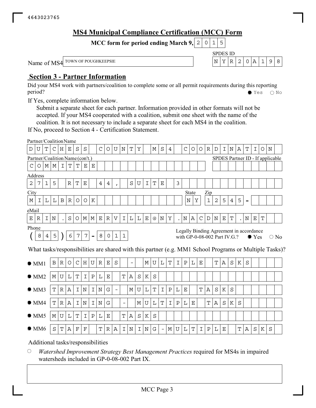## **MS4 Municipal Compliance Certification (MCC) Form**

SPDES ID

**MCC form for period ending March 9, 2 0 1 5** 

Name of MS4 <sup>TOWN OF POUGHKEEPSIE</sup>  $N \mid Y \mid R \mid 2 \mid 0 \mid A \mid 1 \mid 9 \mid 8$ 

## **Section 3 - Partner Information**

Did your MS4 work with partners/coalition to complete some or all permit requirements during this reporting period? See Section 2021 2022 2023 2023 2024 2022 203 203 204 205 205 206 207 208 208 209 209 209 20

If Yes, complete information below.

Submit a separate sheet for each partner. Information provided in other formats will not be accepted. If your MS4 cooperated with a coalition, submit one sheet with the name of the coalition. It is not necessary to include a separate sheet for each MS4 in the coalition.

If No, proceed to Section 4 - Certification Statement.

|                | Partner/CoalitionName                          |                |             |              |                |              |                 |               |                    |                |              |                          |                          |             |             |                           |                          |             |                |         |                                         |             |              |         |             |                |   |         |               |             |                                  |                                                                                                        |
|----------------|------------------------------------------------|----------------|-------------|--------------|----------------|--------------|-----------------|---------------|--------------------|----------------|--------------|--------------------------|--------------------------|-------------|-------------|---------------------------|--------------------------|-------------|----------------|---------|-----------------------------------------|-------------|--------------|---------|-------------|----------------|---|---------|---------------|-------------|----------------------------------|--------------------------------------------------------------------------------------------------------|
| D              | U                                              | Т              | C           | H            | Е              | S            | $\rm S$         |               | C                  | O              | U            | N                        | $\mathbf T$              | Υ           |             | М                         | S                        | 4           |                | C       | O                                       | $\circ$     | R            | D       | I           | N              | Α | Т       | I             | O           | N                                |                                                                                                        |
|                | Partner/Coalition Name (con't.)                |                |             |              |                |              |                 |               |                    |                |              |                          |                          |             |             |                           |                          |             |                |         |                                         |             |              |         |             |                |   |         |               |             | SPDES Partner ID - If applicable |                                                                                                        |
| $\mathsf{C}$   | O                                              | M              | М           | I            | $\mathbf T$    | Т            | $\mathbf E$     | Ε             |                    |                |              |                          |                          |             |             |                           |                          |             |                |         |                                         |             |              |         |             |                |   |         |               |             |                                  |                                                                                                        |
|                | Address                                        |                |             |              |                |              |                 |               |                    |                |              |                          |                          |             |             |                           |                          |             |                |         |                                         |             |              |         |             |                |   |         |               |             |                                  |                                                                                                        |
| $\overline{2}$ | 7                                              | $\mathbf 1$    | 5           |              | $\mathbb R$    | $\mathbf T$  | $\mathbf E$     |               | 4                  | $\overline{4}$ | $\mathbf{r}$ |                          | $\rm S$                  | U           | $\mathbf I$ | $\mathbf T$               | Ε                        |             | $\mathfrak{Z}$ |         |                                         |             |              |         |             |                |   |         |               |             |                                  |                                                                                                        |
| City           |                                                |                |             |              |                |              |                 |               |                    |                |              |                          |                          |             |             |                           |                          |             |                |         | <b>State</b>                            |             | Zip          |         |             |                |   |         |               |             |                                  |                                                                                                        |
| М              | Ι                                              | L              | L           | $\, {\bf B}$ | $\, {\bf R}$   | $\circ$      | $\bigcirc$      | K             |                    |                |              |                          |                          |             |             |                           |                          |             |                | Ν       | Υ                                       |             | $\mathbf{1}$ | 2       | 5           | $\overline{4}$ | 5 |         |               |             |                                  |                                                                                                        |
| eMail          |                                                |                |             |              |                |              |                 |               |                    |                |              |                          |                          |             |             |                           |                          |             |                |         |                                         |             |              |         |             |                |   |         |               |             |                                  |                                                                                                        |
| $\mathbf E$    | R                                              | I.             | $\mathbf N$ |              | $\rm S$        | O            | М               | $\mathbb M$   | $\mathbf{E}% _{0}$ | $\, {\bf R}$   | V            | $\mathbf I$              | $\mathbf L$              | $\mathbf L$ | $\mathbf E$ | $^\text{\textregistered}$ | $\mathbf N$              | Υ           |                | $\rm N$ | Α                                       | $\mathsf C$ | $\mathbb D$  | $\rm N$ | $\mathbf E$ | $\mathbf T$    |   | $\rm N$ | $\mathbf E$   | $\mathbf T$ |                                  |                                                                                                        |
| Phone          |                                                |                |             |              |                |              |                 |               |                    |                |              |                          |                          |             |             |                           |                          |             |                |         | Legally Binding Agreement in accordance |             |              |         |             |                |   |         |               |             |                                  |                                                                                                        |
|                | 8                                              | $\overline{4}$ | 5           |              | $\epsilon$     | 7            | $\overline{7}$  |               | 8                  | $\mathsf{O}$   | $\mathbf{1}$ | $\mathbf{1}$             |                          |             |             |                           |                          |             |                |         | with GP-0-08-002 Part IV.G.?            |             |              |         |             |                |   |         | $\bullet$ Yes |             |                                  | $\bigcirc$ No                                                                                          |
|                |                                                |                |             |              |                |              |                 |               |                    |                |              |                          |                          |             |             |                           |                          |             |                |         |                                         |             |              |         |             |                |   |         |               |             |                                  |                                                                                                        |
|                |                                                |                |             |              |                |              |                 |               |                    |                |              |                          |                          |             |             |                           |                          |             |                |         |                                         |             |              |         |             |                |   |         |               |             |                                  | What tasks/responsibilities are shared with this partner (e.g. MM1 School Programs or Multiple Tasks)? |
|                | $\bullet$ MM1                                  |                | $\mathbf B$ | $\mathbb R$  | $\circ$        | $\mathsf{C}$ | $H_{\parallel}$ | U             | R                  | Е              | $\rm S$      |                          | $\overline{\phantom{0}}$ |             | М           | U                         | $\mathbf L$              | $\mathbf T$ | I              | Ρ       | L                                       | Ε           |              | T       | Α           | S              | K | S       |               |             |                                  |                                                                                                        |
|                |                                                |                |             |              |                |              |                 |               |                    |                |              |                          |                          |             |             |                           |                          |             |                |         |                                         |             |              |         |             |                |   |         |               |             |                                  |                                                                                                        |
|                | $\bullet$ MM2                                  |                | М           | U            | L              | $\mathbf T$  | $\mathbbm{I}$   | $\, {\bf P}$  | L                  | $\mathbf E$    |              | $\mathbf T$              | Α                        | $\rm S$     | K           | S                         |                          |             |                |         |                                         |             |              |         |             |                |   |         |               |             |                                  |                                                                                                        |
|                | OMM3                                           |                | $\mathbb T$ | R            | $\mathcal{A}$  | I.           | N               | I             | N                  | G              |              |                          | М                        | U           | $\mathbf L$ | $\mathbf T$               | I                        | $\mathbf P$ | L              | Ε       |                                         | T           | $\mathbb{A}$ | S       | K           | S              |   |         |               |             |                                  |                                                                                                        |
|                |                                                |                |             |              |                |              |                 |               |                    |                |              |                          |                          |             |             |                           |                          |             |                |         |                                         |             |              |         |             |                |   |         |               |             |                                  |                                                                                                        |
|                | $\bullet$ MM4                                  |                | T           | R            | Α              | I            | $\mathbf N$     | $\mathbbm{I}$ | N                  | G              |              | $\overline{\phantom{0}}$ |                          | М           | U           | $\mathbf L$               | $\mathbf T$              | $\mathbf I$ | Ρ              | L       | Е                                       |             | T            | Α       | $\rm S$     | K              | S |         |               |             |                                  |                                                                                                        |
|                | $\bullet$ MM5                                  |                | М           | ${\bf U}$    | $\mathbf L$    | $\mathbf T$  | $\mathbf I$     | $\, {\bf P}$  | L                  | $\mathbf E$    |              | $\mathbf T$              | Α                        | S           | K           | $\rm S$                   |                          |             |                |         |                                         |             |              |         |             |                |   |         |               |             |                                  |                                                                                                        |
|                |                                                |                |             |              |                |              |                 |               |                    |                |              |                          |                          |             |             |                           |                          |             |                |         |                                         |             |              |         |             |                |   |         |               |             |                                  |                                                                                                        |
|                | $\bullet$ MM6                                  |                | $\rm S$     | Т            | Α              | F            | $_{\rm F}$      |               | Т                  | R              | Α            | I                        | N                        | I           | $\mathbf N$ | G                         | $\overline{\phantom{a}}$ | М           | U              | L       | T                                       | Ι           | Ρ            | L       | Ε           |                | T | Α       | S             | Κ           | S                                |                                                                                                        |
|                | $\mathbf{A}$ and $\mathbf{A}$ and $\mathbf{A}$ |                | $-1$        |              | $\blacksquare$ |              |                 | 14.141.1      |                    |                |              |                          |                          |             |             |                           |                          |             |                |         |                                         |             |              |         |             |                |   |         |               |             |                                  |                                                                                                        |

Additional tasks/responsibilities

 $\bigcirc$ *Watershed Improvement Strategy Best Management Practices* required for MS4s in impaired watersheds included in GP-0-08-002 Part IX.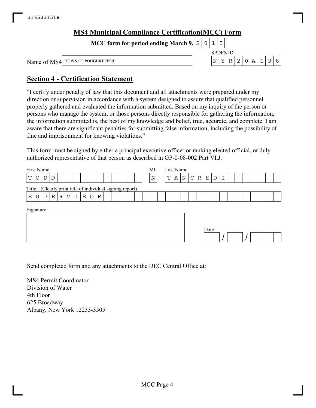| <b>MS4 Municipal Compliance Certification (MCC) Form</b> |  |                 |         |             |  |   |
|----------------------------------------------------------|--|-----------------|---------|-------------|--|---|
| MCC form for period ending March 9, $ 2 0 1 5 $          |  |                 |         |             |  |   |
|                                                          |  | <b>SPDES ID</b> |         |             |  |   |
| Name of MS4 TOWN OF POUGHKEEPSIE                         |  | N               | $R$   2 | $ 0 A 1 9 $ |  | R |

## **Section 4 - Certification Statement**

"I certify under penalty of law that this document and all attachments were prepared under my direction or supervision in accordance with a system designed to assure that qualified personnel properly gathered and evaluated the information submitted. Based on my inquiry of the person or persons who manage the system, or those persons directly responsible for gathering the information, the information submitted is, the best of my knowledge and belief, true, accurate, and complete. I am aware that there are significant penalties for submitting false information, including the possibility of fine and imprisonment for knowing violations."

This form must be signed by either a principal executive officer or ranking elected official, or duly authorized representative of that person as described in GP-0-08-002 Part VI.J.

| First Name<br>Т<br>D<br>D<br>O                                                       | MI<br>N | Last Name<br>N<br>$\mathsf{C}$<br>$\mathbb R$<br>Ι<br>Т<br>Α<br>Е<br>D |
|--------------------------------------------------------------------------------------|---------|------------------------------------------------------------------------|
| (Clearly print title of individual signing report)<br>Title                          |         |                                                                        |
| S<br>$\mathbbm{I}$<br>$\circ$<br>S<br>Е<br>$\mathbb R$<br>V<br>U<br>Ρ<br>$\mathbb R$ |         |                                                                        |
| Signature                                                                            |         | Date                                                                   |

Send completed form and any attachments to the DEC Central Office at:

MS4 Permit Coordinator Division of Water 4th Floor 625 Broadway Albany, New York 12233-3505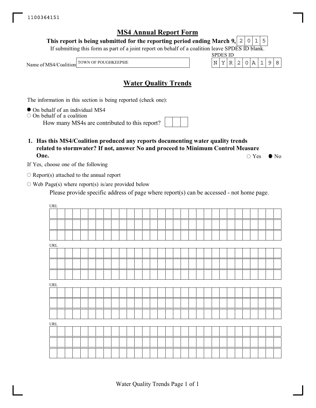#### **This report is being submitted for the reporting period ending March 9,**  $2|0|1|5$

If submitting this form as part of a joint report on behalf of a coalition leave SPDES ID blank.

Name of MS4/Coalition

TOWN OF POUGHKEEPSIE  $\vert N \vert Y \vert R \vert 2 \vert 0 \vert A \vert 1 \vert 9 \vert 8$ 

## **Water Quality Trends**

The information in this section is being reported (check one):

 $\bullet$  On behalf of an individual MS4

 $\circ$  On behalf of a coalition

How many MS4s are contributed to this report?

### **1. Has this MS4/Coalition produced any reports documenting water quality trends related to stormwater? If not, answer No and proceed to Minimum Control Measure One.**

If Yes, choose one of the following

 $\circ$  Report(s) attached to the annual report

 $\circ$  Web Page(s) where report(s) is/are provided below

Please provide specific address of page where report(s) can be accessed - not home page.

| URL |  |  |  |  |  |  |  |  |  |  |  |  |  |  |
|-----|--|--|--|--|--|--|--|--|--|--|--|--|--|--|
|     |  |  |  |  |  |  |  |  |  |  |  |  |  |  |
|     |  |  |  |  |  |  |  |  |  |  |  |  |  |  |
|     |  |  |  |  |  |  |  |  |  |  |  |  |  |  |
| URL |  |  |  |  |  |  |  |  |  |  |  |  |  |  |
|     |  |  |  |  |  |  |  |  |  |  |  |  |  |  |
|     |  |  |  |  |  |  |  |  |  |  |  |  |  |  |
|     |  |  |  |  |  |  |  |  |  |  |  |  |  |  |
| URL |  |  |  |  |  |  |  |  |  |  |  |  |  |  |
|     |  |  |  |  |  |  |  |  |  |  |  |  |  |  |
|     |  |  |  |  |  |  |  |  |  |  |  |  |  |  |
|     |  |  |  |  |  |  |  |  |  |  |  |  |  |  |
| URL |  |  |  |  |  |  |  |  |  |  |  |  |  |  |
|     |  |  |  |  |  |  |  |  |  |  |  |  |  |  |
|     |  |  |  |  |  |  |  |  |  |  |  |  |  |  |
|     |  |  |  |  |  |  |  |  |  |  |  |  |  |  |
|     |  |  |  |  |  |  |  |  |  |  |  |  |  |  |

 $\circ$  Yes  $\bullet$  No

SPDES ID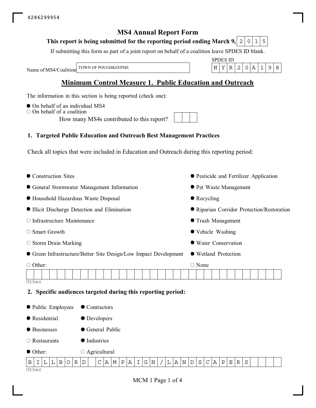#### **This report is being submitted for the reporting period ending March 9,**  $0|1|5$

If submitting this form as part of a joint report on behalf of a coalition leave SPDES ID blank.

Name of MS4/Coalition

SPDES ID TOWN OF POUGHKEEPSIE  $\vert N \vert Y \vert R \vert 2 \vert 0 \vert A \vert 1 \vert 9 \vert 8$ 

## **Minimum Control Measure 1. Public Education and Outreach**

The information in this section is being reported (check one):

- $\bullet$  On behalf of an individual MS4
- $\circ$  On behalf of a coalition

How many MS4s contributed to this report?

## **1. Targeted Public Education and Outreach Best Management Practices**

Check all topics that were included in Education and Outreach during this reporting period:

| Construction Sites                                         |                                                                                            | • Pesticide and Fertilizer Application                                                |
|------------------------------------------------------------|--------------------------------------------------------------------------------------------|---------------------------------------------------------------------------------------|
|                                                            | General Stormwater Management Information                                                  | ● Pet Waste Management                                                                |
| ● Household Hazardous Waste Disposal                       |                                                                                            | $\bullet$ Recycling                                                                   |
| Illicit Discharge Detection and Elimination                |                                                                                            | Riparian Corridor Protection/Restoration                                              |
| O Infrastructure Maintenance                               |                                                                                            | • Trash Management                                                                    |
| ○ Smart Growth                                             |                                                                                            | • Vehicle Washing                                                                     |
| $\circ$ Storm Drain Marking                                |                                                                                            | • Water Conservation                                                                  |
|                                                            | • Green Infrastructure/Better Site Design/Low Impact Development                           | • Wetland Protection                                                                  |
| ○ Other:<br>Other                                          | 2. Specific audiences targeted during this reporting period:                               | $\bigcirc$ None                                                                       |
| ● Public Employees                                         | ● Contractors                                                                              |                                                                                       |
| Residential                                                | • Developers                                                                               |                                                                                       |
| <b>•</b> Businesses                                        | General Public                                                                             |                                                                                       |
| $\circ$ Restaurants                                        | <b>Industries</b>                                                                          |                                                                                       |
| ● Other:                                                   | $\circ$ Agricultural                                                                       |                                                                                       |
| $\, {\bf B}$<br>$\mathbb R$<br>L<br>$\circ$<br>Β<br>I<br>L | C<br>$A \mid M$<br>G<br>$\overline{\mathbb{N}}$<br>D<br>Ρ<br>  A<br>I.<br>$\rm N$<br>L   A | $\rm S$<br>$\mathsf{C}$<br>$\mathbb D$<br>  A<br>$\mathbf P$<br>$\mathbb R$<br>S<br>Е |

Other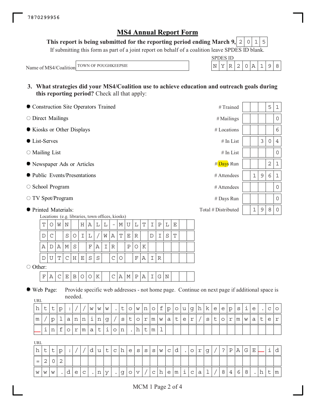**This report is being submitted for the reporting period ending March 9,**  $2|0|1|5$ 

If submitting this form as part of a joint report on behalf of a coalition leave SPDES ID blank.

Name of MS4/Coalition TOWN OF POUGHKEEPSIE

| SPD 1 | 88 H D |  |  |  |
|-------|--------|--|--|--|
|       |        |  |  |  |

**3. What strategies did your MS4/Coalition use to achieve education and outreach goals during this reporting period?** Check all that apply:

| Construction Site Operators Trained | $#T^i$ rained       |   |   | 5       | $\mathbf 1$ |
|-------------------------------------|---------------------|---|---|---------|-------------|
| $\circ$ Direct Mailings             | $#$ Mailings        |   |   |         | $\circ$     |
| Kiosks or Other Displays            | $#$ Locations       |   |   |         | 6           |
| $\bullet$ List-Serves               | $#$ In List         |   | 3 | $\circ$ | 4           |
| $\circ$ Mailing List                | $#$ In List         |   |   |         | $\circ$     |
| • Newspaper Ads or Articles         | #Days Run           |   |   | 2       | 1           |
| lacktriangleright Presentations     | # Attendees         | 1 | 9 | 6       | $\mathbf 1$ |
| $\circ$ School Program              | # Attendees         |   |   |         | $\circ$     |
| $\circ$ TV Spot/Program             | # Days Run          |   |   |         | 0           |
| ● Printed Materials:                | Total # Distributed | 1 | 9 | 8       | $\circ$     |

Locations (e.g. libraries, town offices, kiosks)

| ௱             | W | N |     | H   | Α |    |   |   | M | ı U | L | $\top$ |   | P |   | F. |  |
|---------------|---|---|-----|-----|---|----|---|---|---|-----|---|--------|---|---|---|----|--|
| D             |   | S | O   |     |   |    | W | А | т | Е   | R |        | D |   | S | Ͳ  |  |
| Α             | А | М | S   |     | F | Α  |   | R |   | P   |   | Κ      |   |   |   |    |  |
| $\mathcal{D}$ | Т |   | C H | ΙE. | S | -S |   |   |   |     | F | Α      |   | R |   |    |  |
| .             |   |   |     |     |   |    |   |   |   |     |   |        |   |   |   |    |  |

O Other:

 $F|A|C|E|B|O|O|K$   $|C|A|M|P|A|I|G|N$ 

Web Page:

**UPL** 

Provide specific web addresses - not home page. Continue on next page if additional space is needed.

| UNL |   |        |           |             |                           |               |           |   |           |           |               |         |              |                    |   |   |                   |   |   |                    |   |   |        |   |             |   |   |   |           |                       |        |
|-----|---|--------|-----------|-------------|---------------------------|---------------|-----------|---|-----------|-----------|---------------|---------|--------------|--------------------|---|---|-------------------|---|---|--------------------|---|---|--------|---|-------------|---|---|---|-----------|-----------------------|--------|
| . . | ◡ | J      | p         |             |                           |               | W         | W | W         | $\bullet$ | J             | $\circ$ | W            | n                  | U |   | $\mathbf{r}$<br>◡ | Ô | u | g                  | h | ĸ | e      | e | p           | S | ı | e | $\bullet$ | $\sim$<br>$\check{ }$ | O      |
| m   |   | ∽<br>◡ | <b>__</b> | а           | $\mathbf{r}$<br><b>TT</b> | $\sim$<br>. . | <b>__</b> | n |           |           | S             | ◡       | $\mathsf{C}$ | $\sim$<br><b>.</b> | m | W | a                 | ັ | e | $\sim$<br><b>_</b> |   | S | ÷<br>◡ | Ő | $\sim$<br>ᅩ | m | W | а | ÷<br>ب    | e                     | $\sim$ |
|     |   | n      | ᅩ         | $\check{ }$ | $\sim$<br><b>.</b>        | m             | a         | ◡ | <b>__</b> | ◡         | $\sim$<br>TT. |         | .            | -<br>J             |   |   |                   |   |   |                    |   |   |        |   |             |   |   |   |           |                       |        |

URL

| h | ັ   |  |   |              |   | ult | C | h e s s             |         |  | $S \mid$ |     | W C | d |                            | $\sim$ |  | ാ | $\mathbf{P}$ | A | G |        |               |
|---|-----|--|---|--------------|---|-----|---|---------------------|---------|--|----------|-----|-----|---|----------------------------|--------|--|---|--------------|---|---|--------|---------------|
|   |     |  |   |              |   |     |   |                     |         |  |          |     |     |   |                            |        |  |   |              |   |   |        |               |
|   | WWW |  | e | $\mathsf{C}$ | n | У   |   | $\cdot$  g  $\circ$ | $\circ$ |  |          | c h |     |   | $ e \mathfrak{m} $ i $ c $ | а      |  | 8 |              |   | 8 | 그그 그 나 | $\mathsf{Im}$ |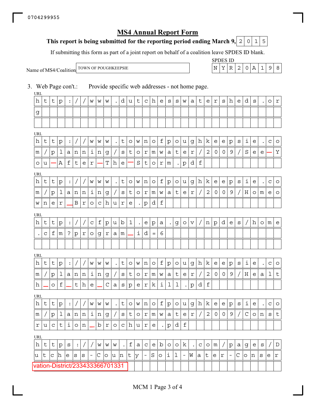### This report is being submitted for the reporting period ending March 9,  $\mid$  2  $\mid$  0  $\mid$  1  $\mid$  5

If submitting this form as part of a joint report on behalf of a coalition leave SPDES ID blank.

Name of MS4/Coalition

SPDES ID TOWN OF POUGHKEEPSIE  $\vert N \vert Y \vert R \vert 2 \vert 0 \vert A \vert 1 | 9 \vert 8$ 

3. Web Page con't.: Provide specific web addresses - not home page. URL URL URL **URI URI** URL URL vation-District/233433366701331  $\mathtt{h}\mathtt{l}\mathtt{t}\mathtt{l}\mathtt{p}|\mathtt{:}\mathtt{l}/\mathtt{l}/\mathtt{w}\mathtt{w}|\mathtt{w}|\mathtt{.}\mathtt{l}\mathtt{d}\mathtt{u}\mathtt{l}\mathtt{t}\mathtt{l}\mathtt{c}\mathtt{l}\mathtt{h}\mathtt{l}\mathtt{e}|\mathtt{s}|\mathtt{s}\mathtt{w}\mathtt{l}\mathtt{a}\mathtt{l}\mathtt{t}\mathtt{l}\mathtt{e}\mathtt{l}\mathtt{r}|\mathtt{s}\mathtt{l}\mathtt{h}\mathtt{l}\mathtt{e}\mathtt{l}\mathtt{d}|\mathtt{s}|\mathtt{.}\mathtt{l}\mathtt{o}\mathtt{l}\mathtt{$ g  $\mathtt{h}\mathtt{l}\mathtt{t}\mathtt{|}\mathtt{t}\mathtt{|}\mathtt{p}\mathtt{|}\mathtt{:}\mathtt{|}/\mathtt{|}/\mathtt{|}\mathtt{w}\mathtt{|}\mathtt{w}\mathtt{|}\mathtt{.}\mathtt{|}\mathtt{t}\mathtt{|}\mathtt{o}\mathtt{|}\mathtt{w}\mathtt{|}\mathtt{n}\mathtt{|}\mathtt{o}\mathtt{|}\mathtt{t}\mathtt{|}\mathtt{p}\mathtt{|}\mathtt{o}\mathtt{|}\mathtt{u}\mathtt{|}\mathtt{g}\mathtt{|}\mathtt{h}\mathtt{|}\mathtt{k}\mathtt{|}\mathtt{e}\mathtt{|}\mathtt{p}\mathtt{|}\mathtt{s}\mathtt{|}\mathtt{i}\mathtt{|}\mat$ m | / |p | 1 | a |n |n | i |n |g | / | s | t | o | r |m | w | a | t | e | r | / | 2 | 0 | 0 | 9 | / | S | e | e |— | Y  $\circ$  | u |  $\!\!-\!\!$  |  $\!$  | f | t | e |  $\!r$  |  $\!-\!\!$  |  $\!$  | e |  $\!-\!\!$  |  $\!$  | t |  $\!$  |  $\!r$  |  $\!m$  | . |  $\!p$  | d |  $\!f$  $\mathtt{h}\mathtt{l}\mathtt{t}\mathtt{|}\mathtt{t}\mathtt{|}\mathtt{p}\mathtt{|}\mathtt{:}\mathtt{|}/\mathtt{|}/\mathtt{|}\mathtt{w}\mathtt{|}\mathtt{w}\mathtt{|}\mathtt{.}\mathtt{|}\mathtt{t}\mathtt{|}\mathtt{o}\mathtt{|}\mathtt{w}\mathtt{|}\mathtt{n}\mathtt{|}\mathtt{o}\mathtt{|}\mathtt{t}\mathtt{|}\mathtt{p}\mathtt{|}\mathtt{o}\mathtt{|}\mathtt{u}\mathtt{|}\mathtt{g}\mathtt{|}\mathtt{h}\mathtt{|}\mathtt{k}\mathtt{|}\mathtt{e}\mathtt{|}\mathtt{p}\mathtt{|}\mathtt{s}\mathtt{|}\mathtt{i}\mathtt{|}\mat$ m | / |p | 1 | a | n | n | i | n | g | / | s | t | o | r | m | w | a | t | e | r | / | 2 | 0 | 0 | 9 | / | H | o | m | e | o  $w \, | \, \texttt{n} \, | \, \texttt{e} \, | \, \texttt{r} \, | \, \texttt{\_B} \, | \, \texttt{r} \, | \, \texttt{o} \, | \, \texttt{c} \, | \, \texttt{h} \, | \, \texttt{u} \, | \, \texttt{r} \, | \, \texttt{e} \, | \, \, . \, | \, \texttt{p} \, | \, \texttt{d} \, | \, \texttt{f} \,$  $\mathtt{h}\,|\mathtt{t}\,|\mathtt{t}\,|\mathtt{p}|:|/|/|\mathtt{c}\,|\mathtt{f}\,|\mathtt{p}\,|\mathtt{u}\,|\mathtt{b}\,|\mathtt{1}|$  .  $|\mathtt{e}\,|\mathtt{p}\,|\mathtt{a}|$  .  $|\mathtt{g}\,|\mathtt{o}\,|\mathtt{v}\,|/\,|\mathtt{n}\,|\mathtt{p}\,|\mathtt{d}\,|\mathtt{e}\,|\mathtt{s}\,|/\,|\mathtt{h}\,|\mathtt{o}\,|\mathtt{m}\,|\mathtt{e}\,|\mathtt{f}\,|\mathtt{f}\,|\mathtt{f}\,|\mathtt{f}\,|\mathtt$ .  $|c| f |m|$  ?  $|p| r |o| g |r| a |m| |i| d = 6$  $\mathtt{h}\mathtt{l}\mathtt{t}\mathtt{|}\mathtt{t}\mathtt{|}\mathtt{p}\mathtt{|}\mathtt{:}\mathtt{|}/\mathtt{|}/\mathtt{|}\mathtt{w}\mathtt{|}\mathtt{w}\mathtt{|}\mathtt{.}\mathtt{|}\mathtt{t}\mathtt{|}\mathtt{o}\mathtt{|}\mathtt{w}\mathtt{|}\mathtt{n}\mathtt{|}\mathtt{o}\mathtt{|}\mathtt{t}\mathtt{|}\mathtt{p}\mathtt{|}\mathtt{o}\mathtt{|}\mathtt{u}\mathtt{|}\mathtt{g}\mathtt{|}\mathtt{h}\mathtt{|}\mathtt{k}\mathtt{|}\mathtt{e}\mathtt{|}\mathtt{p}\mathtt{|}\mathtt{s}\mathtt{|}\mathtt{i}\mathtt{|}\mat$  $\lfloor m\rfloor/\lfloor p\rfloor1$  | a  $\lfloor n\rfloor$   $\lfloor n\rfloor$   $\lfloor g\rfloor/\lfloor s\rfloor$  t  $\lfloor o\rfloor$   $\lfloor m\rfloor$   $\lfloor w\rfloor$  a  $\lfloor t\rfloor$   $\lfloor c\rfloor$   $\lfloor r\rfloor/\lfloor 2\rfloor$   $0$   $\lfloor 0\rfloor$   $g\rfloor/\lfloor H\rfloor$   $e\lfloor a\rfloor1$   $\lfloor t\rfloor$  $\mathtt{h}\!\left|\bot\!\right|$ o  $\mathtt{f}\!\left|\bot\!\right|$ t  $\!\left|\mathtt{h}\!\left|\mathtt{e}\!\left|\bot\!\left|\mathtt{c}\!\left|\mathtt{a}\!\left|\mathtt{s}\!\left|\mathtt{p}\!\left|\mathtt{e}\!\left|\mathtt{r}\!\left|\mathtt{k}\!\left|\mathtt{i}\!\left|\mathtt{l}\!\left|\mathtt{l}\right|\right.\right|\right.\right.\right|$  $\mathtt{h}\mathtt{l}\mathtt{t}\mathtt{|}\mathtt{t}\mathtt{|}\mathtt{p}\mathtt{|}\mathtt{:}\mathtt{|}/\mathtt{|}/\mathtt{|}\mathtt{w}\mathtt{|}\mathtt{w}\mathtt{|}\mathtt{.}\mathtt{|}\mathtt{t}\mathtt{|}\mathtt{o}\mathtt{|}\mathtt{w}\mathtt{|}\mathtt{n}\mathtt{|}\mathtt{o}\mathtt{|}\mathtt{t}\mathtt{|}\mathtt{p}\mathtt{|}\mathtt{o}\mathtt{|}\mathtt{u}\mathtt{|}\mathtt{g}\mathtt{|}\mathtt{h}\mathtt{|}\mathtt{k}\mathtt{|}\mathtt{e}\mathtt{|}\mathtt{p}\mathtt{|}\mathtt{s}\mathtt{|}\mathtt{i}\mathtt{|}\mat$  $\lfloor m\rfloor/\lfloor p\rfloor1$  | a  $\lfloor n\rfloor$  n  $\lfloor n\rfloor$  g  $\rfloor/\lfloor s\rfloor$  t  $\lfloor o\rfloor$  r  $\lfloor m\rfloor$  w  $\lfloor a\rfloor$  t  $\lfloor e\rfloor$  r  $\rfloor/\lfloor 2\rfloor$  0  $\lfloor 0\rfloor$  9  $\rfloor/\lfloor c\rfloor$  o  $\lfloor n\rfloor$   $s\rfloor$  t  $r|u|c|t|$ i $|o|n|$  b  $r|o|c|h|u|r|e|$  .  $|p|d|f$ h | t | t | p | s | ː | / | / | w | w | w | . | f | a | c | e | b | o | o | k | . | c | o | m | / | p | a | g | e | s | / | D u |t |c |h |e |s |s |- |C |o |u |n |t |y |- |S |o |i |l |- |W |a |t |e |r |- |C |o |n |s |e |r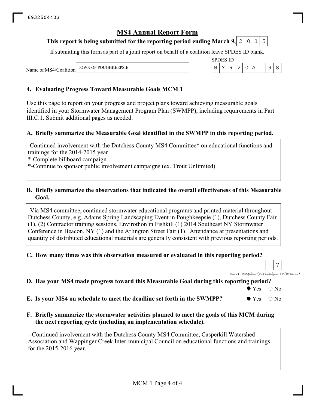#### This report is being submitted for the reporting period ending March 9,  $\mid$  2  $\mid$  0  $\mid$  1  $\mid$  5

If submitting this form as part of a joint report on behalf of a coalition leave SPDES ID blank.

SPDES ID

Name of MS4/Coalition TOWN OF POUGHKEEPSIE  $\vert N \vert Y \vert R \vert 2 \vert 0 \vert A \vert 1 \vert 9 \vert 8$ 

#### **4. Evaluating Progress Toward Measurable Goals MCM 1**

Use this page to report on your progress and project plans toward achieving measurable goals identified in your Stormwater Management Program Plan (SWMPP), including requirements in Part III.C.1. Submit additional pages as needed.

#### **A. Briefly summarize the Measurable Goal identified in the SWMPP in this reporting period.**

-Continued involvement with the Dutchess County MS4 Committee\* on educational functions and trainings for the 2014-2015 year.

\*-Complete billboard campaign

\*-Continue to sponsor public involvement campaigns (ex. Trout Unlimited)

#### **B. Briefly summarize the observations that indicated the overall effectiveness of this Measurable Goal.**

-Via MS4 committee, continued stormwater educational programs and printed material throughout Dutchess County, e.g, Adams Spring Landscaping Event in Poughkeepsie (1), Dutchess County Fair (1), (2) Contractor training sessions, Envirothon in Fishkill (1) 2014 Southeast NY Stormwater Conference in Beacon, NY (1) and the Arlington Street Fair (1). Attendance at presentations and quantity of distributed educational materials are generally consistent with previous reporting periods.

#### **C. How many times was this observation measured or evaluated in this reporting period?**

*(ex.: samples/participants/events)* 7

#### **D. Has your MS4 made progress toward this Measurable Goal during this reporting period?**

 $\bullet$  Yes  $\circ$  No

**E.** Is your MS4 on schedule to meet the deadline set forth in the SWMPP?  $\bullet$  Yes  $\circ$  No

#### **F. Briefly summarize the stormwater activities planned to meet the goals of this MCM during the next reporting cycle (including an implementation schedule).**

--Continued involvement with the Dutchess County MS4 Committee, Casperkill Watershed Association and Wappinger Creek Inter-municipal Council on educational functions and trainings for the 2015-2016 year.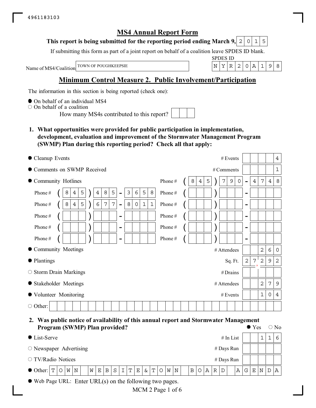#### This report is being submitted for the reporting period ending March 9,  $\mid$  2  $\mid$  0  $\mid$  1  $\mid$  5

If submitting this form as part of a joint report on behalf of a coalition leave SPDES ID blank.

Name of MS4/Coalition

SPDES ID TOWN OF POUGHKEEPSIE  $\vert N \vert Y \vert R \vert 2 \vert 0 \vert A \vert 1 \vert 9 \vert 8$ 

## **Minimum Control Measure 2. Public Involvement/Participation**

The information in this section is being reported (check one):

 $\bullet$  On behalf of an individual MS4

 $\circ$  On behalf of a coalition

How many MS4s contributed to this report?

**1. What opportunities were provided for public participation in implementation, development, evaluation and improvement of the Stormwater Management Program (SWMP) Plan during this reporting period? Check all that apply:**

| • Cleanup Events                                                                                                                    | # Events<br>$\overline{4}$                                                                        |
|-------------------------------------------------------------------------------------------------------------------------------------|---------------------------------------------------------------------------------------------------|
| Comments on SWMP Received                                                                                                           | $\mathbf{1}$<br># Comments                                                                        |
| Community Hotlines                                                                                                                  | 7<br>5<br>9<br>8<br>Phone#<br>8<br>0<br>$\overline{4}$<br>4<br>4<br>7<br>$\overline{\phantom{0}}$ |
| $\epsilon$<br>$\,8\,$<br>5<br>$\mathfrak{Z}$<br>5<br>5<br>$\,8\,$<br>Phone#<br>$\overline{4}$<br>8<br>4<br>$\overline{\phantom{0}}$ | Phone#<br>$\overline{\phantom{a}}$                                                                |
| 5<br>7<br>$\overline{7}$<br>6<br>8<br>$\mathbf 1$<br>$\mathbf{1}$<br>Phone#<br>8<br>0<br>4<br>$\blacksquare$                        | Phone#<br>-                                                                                       |
| Phone#<br>-                                                                                                                         | Phone#<br>-                                                                                       |
| Phone#<br>$\overline{\phantom{0}}$                                                                                                  | Phone#<br>-                                                                                       |
| Phone#<br>$\overline{\phantom{0}}$                                                                                                  | Phone#<br>-                                                                                       |
| • Community Meetings                                                                                                                | $\overline{2}$<br>6<br># Attendees<br>$\overline{0}$                                              |
| ● Plantings                                                                                                                         | $\overline{2}$<br>2<br>7<br>$\overline{c}$<br>9<br>Sq. Ft.                                        |
| $\circ$ Storm Drain Markings                                                                                                        | $#$ Drains                                                                                        |
| • Stakeholder Meetings                                                                                                              | $\overline{2}$<br>$\overline{7}$<br>9<br># Attendees                                              |
| ● Volunteer Monitoring                                                                                                              | 1<br># Events<br>0<br>4                                                                           |
| $\circ$ Other:                                                                                                                      |                                                                                                   |

#### **2. Was public notice of availability of this annual report and Stormwater Management Program (SWMP) Plan provided?**  $\bullet$  Yes  $\circ$  No

| Trogram (S W MI ) I fail provided: |         |     |  |   |                |     |                  |             |   |          |  |             |   |       |   |              |              |   |   | $\sim$ 1 $\circ$ |   |             | $\sim$ 190 |
|------------------------------------|---------|-----|--|---|----------------|-----|------------------|-------------|---|----------|--|-------------|---|-------|---|--------------|--------------|---|---|------------------|---|-------------|------------|
| • List-Serve                       |         |     |  |   |                |     |                  |             |   |          |  |             |   |       |   |              | $#$ In List  |   |   |                  |   |             | 6          |
| $\circ$ Newspaper Advertising      |         |     |  |   |                |     |                  |             |   |          |  |             |   |       |   |              | $#$ Days Run |   |   |                  |   |             |            |
| $\circ$ TV/Radio Notices           |         |     |  |   |                |     |                  |             |   |          |  |             |   |       |   |              | # Days Run   |   |   |                  |   |             |            |
| $\bullet$ Other: $\vert T \vert$   | $\circ$ | W N |  | W | E <sub>1</sub> | B S | , $\mathtt{I}^+$ | $\mathbf T$ | E | $\delta$ |  | $T$ O $W$ N | B | O   A | R | $\mathsf{D}$ |              | Α | G | Е                | N | $\mathbf D$ | $A \mid$   |
|                                    |         |     |  |   |                |     |                  |             |   |          |  |             |   |       |   |              |              |   |   |                  |   |             |            |

Web Page URL: Enter URL(s) on the following two pages.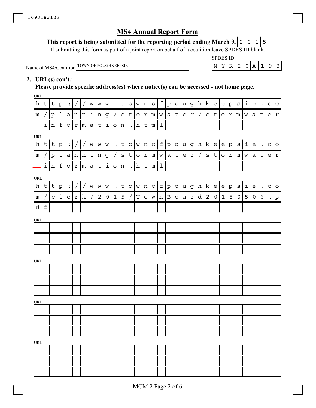#### This report is being submitted for the reporting period ending March 9,  $\mid$  2  $\mid$  0  $\mid$  1  $\mid$  5

If submitting this form as part of a joint report on behalf of a coalition leave SPDES ID blank.

| Vame of MS4/Coalition TOWN OF POUGHKEEPSL |
|-------------------------------------------|
|                                           |

|                                                              | CDF                | $\overline{\phantom{0}}$<br>∼ |     |   |     |     |  |
|--------------------------------------------------------------|--------------------|-------------------------------|-----|---|-----|-----|--|
| TOWN OF<br><b>EEPSIE</b><br>D <sub>0</sub><br>мı<br>÷НК<br>◡ | $\sim$ $\sim$<br>N | v                             | . . | ↩ | . . | . . |  |

## **2. URL(s) con't.:**

**Please provide specific address(es) where notice(s) can be accessed - not home page.**

URL

| h          | $\sf t$            | $\sf t$      | $\rm p$      | $\ddot{\cdot}$   |              |                 | W                        | W              | W                   |                      | $\sf t$        | $\circ$ | W           | $\,$ $\,$ $\,$ | $\circ$         | f           | $\rm p$      | $\circ$ | u            | $\mathsf g$               | h          | $\mathbf k$     | $\mathsf{e}% _{t}\!\left( \mathcal{A}_{t}\right)$ | $\mathsf{e}% _{t}\left( t\right)$ | $\rm p$     | $\rm s$      | i                 | e       | $\bullet$            | $\mathbf C$ | $\circ$      |
|------------|--------------------|--------------|--------------|------------------|--------------|-----------------|--------------------------|----------------|---------------------|----------------------|----------------|---------|-------------|----------------|-----------------|-------------|--------------|---------|--------------|---------------------------|------------|-----------------|---------------------------------------------------|-----------------------------------|-------------|--------------|-------------------|---------|----------------------|-------------|--------------|
| m          |                    | p            | $\mathbf 1$  | $a \mid$         | n            | $\,$ $\,$ $\,$  | $\vert \mathbf{i} \vert$ | n              | g                   | $\sqrt{2}$           | $\mathtt{s}$   | t       | $\circ$     | $\Upsilon$     | ${\mathfrak m}$ | W           | $\mathsf{a}$ | $\sf t$ | e            | $\mathbf r$               | $\bigg)$   | $\mathtt{s}$    | $\sf t$                                           | $\circ$                           | $\mathbf r$ | m            | W                 | a       | $\sf t$              | e           | $\mathtt{r}$ |
|            | $\dot{\mathtt{l}}$ | $\,$ n       | $\verb f $   | $\circ$          | $\Upsilon$   | ${\mathfrak m}$ | a                        | $\mathsf t$    | $\dot{1}$           | $\circ$              | $\,$ $\,$ $\,$ |         | h           | $\sf t$        | ${\mathfrak m}$ | $\mathbf 1$ |              |         |              |                           |            |                 |                                                   |                                   |             |              |                   |         |                      |             |              |
| URL        |                    |              |              |                  |              |                 |                          |                |                     |                      |                |         |             |                |                 |             |              |         |              |                           |            |                 |                                                   |                                   |             |              |                   |         |                      |             |              |
| h          | $\mathsf{t}$       | $\mathsf{t}$ | $\mathtt{p}$ | $\ddot{\bullet}$ | $\bigg)$     | $\overline{ }$  | W                        | $\mathbf W$    | W                   | $\bullet$            | $\sf t$        | $\circ$ | W           | n              | $\circ$         | f           | $\rm p$      | $\circ$ | u            | $\mathsf g$               | h          | $\mathbf k$     | $\mathsf{e}% _{t}\left( t\right)$                 | $\mathsf{e}$                      | $\rm p$     | $\rm s$      | $\mathtt{i}$      | e       | $\bullet$            | $\mathbf C$ | $\circ$      |
| m          |                    | $\rm p$      | $1\,$        | $a \mid$         | $\, {\rm n}$ | $\,$ n          | $\perp$                  | $\,$ $\,$ $\,$ | g                   |                      | $\mathtt{s}$   | $\sf t$ | $\circ$     | $\Upsilon$     | m               | W           | $\mathsf a$  | $\sf t$ | e            | $\ensuremath{\mathbf{r}}$ | $\sqrt{2}$ | $\mathtt{s}$    | $\sf t$                                           | $\circ$                           | $\mathbf r$ | m            | W                 | а       | $\sf t$              | e           | $\mathtt{r}$ |
|            | $\mathtt{i}$       | $\, {\rm n}$ | $\mathbf f$  | $\circ$          | $\mathtt{r}$ | ${\mathfrak m}$ | $\mathsf{a}$             | $\sf t$        | $\dot{\mathtt{l}}$  | $\circ$              | $\,$ n         |         | h           | $\mathsf t$    | ${\mathfrak m}$ | $\mathbf 1$ |              |         |              |                           |            |                 |                                                   |                                   |             |              |                   |         |                      |             |              |
| URL        |                    |              |              |                  |              |                 |                          |                |                     |                      |                |         |             |                |                 |             |              |         |              |                           |            |                 |                                                   |                                   |             |              |                   |         |                      |             |              |
| h          | $\mathsf{t}$       | $\sf t$      | $\mathtt{p}$ | $\ddot{\cdot}$   | $\sqrt{2}$   | $\sqrt{2}$      | W                        | W              | W                   | $\ddot{\phantom{a}}$ | $\sf t$        | $\circ$ | W           | n              | $\circ$         | $f_{\rm}$   | $\rm p$      | $\circ$ | $\mathsf{u}$ | g                         | h          | $\vert k \vert$ | $\mathsf{e}% _{t}\left( t\right)$                 | $\mathsf{e}% _{t}\left( t\right)$ | ${\tt p}$   | $\mathtt{s}$ | $\dot{\mathtt l}$ | e       | $\ddot{\phantom{a}}$ | $\mathbf C$ | $\circ$      |
| m          |                    | $\mathbf C$  | $\mathbf 1$  | $\mathsf{e}$     | $\mathtt{r}$ | k               |                          | $\overline{2}$ | $\mathsf{O}\xspace$ | $\mathbf{1}$         | 5              |         | $\mathbf T$ | $\circ$        | $\mathbf W$     | n           | $\, {\bf B}$ | $\circ$ | $\mathsf{a}$ | $\mathtt{r}$              | d          | $\overline{2}$  | $\mathsf{O}\xspace$                               | $\mathbf 1$                       | 5           | $\mathsf O$  | 5                 | $\circ$ | $\epsilon$           |             | p            |
| d          | $\mathbf f$        |              |              |                  |              |                 |                          |                |                     |                      |                |         |             |                |                 |             |              |         |              |                           |            |                 |                                                   |                                   |             |              |                   |         |                      |             |              |
| URL        |                    |              |              |                  |              |                 |                          |                |                     |                      |                |         |             |                |                 |             |              |         |              |                           |            |                 |                                                   |                                   |             |              |                   |         |                      |             |              |
|            |                    |              |              |                  |              |                 |                          |                |                     |                      |                |         |             |                |                 |             |              |         |              |                           |            |                 |                                                   |                                   |             |              |                   |         |                      |             |              |
|            |                    |              |              |                  |              |                 |                          |                |                     |                      |                |         |             |                |                 |             |              |         |              |                           |            |                 |                                                   |                                   |             |              |                   |         |                      |             |              |
|            |                    |              |              |                  |              |                 |                          |                |                     |                      |                |         |             |                |                 |             |              |         |              |                           |            |                 |                                                   |                                   |             |              |                   |         |                      |             |              |
|            |                    |              |              |                  |              |                 |                          |                |                     |                      |                |         |             |                |                 |             |              |         |              |                           |            |                 |                                                   |                                   |             |              |                   |         |                      |             |              |
| URL        |                    |              |              |                  |              |                 |                          |                |                     |                      |                |         |             |                |                 |             |              |         |              |                           |            |                 |                                                   |                                   |             |              |                   |         |                      |             |              |
|            |                    |              |              |                  |              |                 |                          |                |                     |                      |                |         |             |                |                 |             |              |         |              |                           |            |                 |                                                   |                                   |             |              |                   |         |                      |             |              |
|            |                    |              |              |                  |              |                 |                          |                |                     |                      |                |         |             |                |                 |             |              |         |              |                           |            |                 |                                                   |                                   |             |              |                   |         |                      |             |              |
|            |                    |              |              |                  |              |                 |                          |                |                     |                      |                |         |             |                |                 |             |              |         |              |                           |            |                 |                                                   |                                   |             |              |                   |         |                      |             |              |
| URL        |                    |              |              |                  |              |                 |                          |                |                     |                      |                |         |             |                |                 |             |              |         |              |                           |            |                 |                                                   |                                   |             |              |                   |         |                      |             |              |
|            |                    |              |              |                  |              |                 |                          |                |                     |                      |                |         |             |                |                 |             |              |         |              |                           |            |                 |                                                   |                                   |             |              |                   |         |                      |             |              |
|            |                    |              |              |                  |              |                 |                          |                |                     |                      |                |         |             |                |                 |             |              |         |              |                           |            |                 |                                                   |                                   |             |              |                   |         |                      |             |              |
|            |                    |              |              |                  |              |                 |                          |                |                     |                      |                |         |             |                |                 |             |              |         |              |                           |            |                 |                                                   |                                   |             |              |                   |         |                      |             |              |
| <b>URL</b> |                    |              |              |                  |              |                 |                          |                |                     |                      |                |         |             |                |                 |             |              |         |              |                           |            |                 |                                                   |                                   |             |              |                   |         |                      |             |              |
|            |                    |              |              |                  |              |                 |                          |                |                     |                      |                |         |             |                |                 |             |              |         |              |                           |            |                 |                                                   |                                   |             |              |                   |         |                      |             |              |
|            |                    |              |              |                  |              |                 |                          |                |                     |                      |                |         |             |                |                 |             |              |         |              |                           |            |                 |                                                   |                                   |             |              |                   |         |                      |             |              |
|            |                    |              |              |                  |              |                 |                          |                |                     |                      |                |         |             |                |                 |             |              |         |              |                           |            |                 |                                                   |                                   |             |              |                   |         |                      |             |              |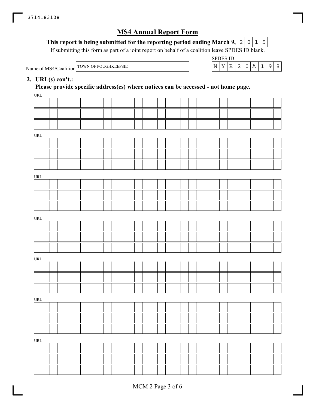#### This report is being submitted for the reporting period ending March 9,  $\mid$  2  $\mid$  0  $\mid$  1  $\mid$  5

If submitting this form as part of a joint report on behalf of a coalition leave SPDES ID blank.

| Name of MS4/Coalition TOWN OF. |  |
|--------------------------------|--|
|                                |  |



#### **2. URL(s) con't.:**

**Please provide specific address(es) where notices can be accessed - not home page.**

| URL   |  |  |  |  |  |  |  |  |  |  |  |  |  |  |  |  |
|-------|--|--|--|--|--|--|--|--|--|--|--|--|--|--|--|--|
|       |  |  |  |  |  |  |  |  |  |  |  |  |  |  |  |  |
|       |  |  |  |  |  |  |  |  |  |  |  |  |  |  |  |  |
|       |  |  |  |  |  |  |  |  |  |  |  |  |  |  |  |  |
|       |  |  |  |  |  |  |  |  |  |  |  |  |  |  |  |  |
| URL   |  |  |  |  |  |  |  |  |  |  |  |  |  |  |  |  |
|       |  |  |  |  |  |  |  |  |  |  |  |  |  |  |  |  |
|       |  |  |  |  |  |  |  |  |  |  |  |  |  |  |  |  |
|       |  |  |  |  |  |  |  |  |  |  |  |  |  |  |  |  |
| URL   |  |  |  |  |  |  |  |  |  |  |  |  |  |  |  |  |
|       |  |  |  |  |  |  |  |  |  |  |  |  |  |  |  |  |
|       |  |  |  |  |  |  |  |  |  |  |  |  |  |  |  |  |
|       |  |  |  |  |  |  |  |  |  |  |  |  |  |  |  |  |
|       |  |  |  |  |  |  |  |  |  |  |  |  |  |  |  |  |
| URL   |  |  |  |  |  |  |  |  |  |  |  |  |  |  |  |  |
|       |  |  |  |  |  |  |  |  |  |  |  |  |  |  |  |  |
|       |  |  |  |  |  |  |  |  |  |  |  |  |  |  |  |  |
|       |  |  |  |  |  |  |  |  |  |  |  |  |  |  |  |  |
| URL   |  |  |  |  |  |  |  |  |  |  |  |  |  |  |  |  |
|       |  |  |  |  |  |  |  |  |  |  |  |  |  |  |  |  |
|       |  |  |  |  |  |  |  |  |  |  |  |  |  |  |  |  |
|       |  |  |  |  |  |  |  |  |  |  |  |  |  |  |  |  |
| URL   |  |  |  |  |  |  |  |  |  |  |  |  |  |  |  |  |
|       |  |  |  |  |  |  |  |  |  |  |  |  |  |  |  |  |
|       |  |  |  |  |  |  |  |  |  |  |  |  |  |  |  |  |
|       |  |  |  |  |  |  |  |  |  |  |  |  |  |  |  |  |
|       |  |  |  |  |  |  |  |  |  |  |  |  |  |  |  |  |
| $URL$ |  |  |  |  |  |  |  |  |  |  |  |  |  |  |  |  |
|       |  |  |  |  |  |  |  |  |  |  |  |  |  |  |  |  |
|       |  |  |  |  |  |  |  |  |  |  |  |  |  |  |  |  |
|       |  |  |  |  |  |  |  |  |  |  |  |  |  |  |  |  |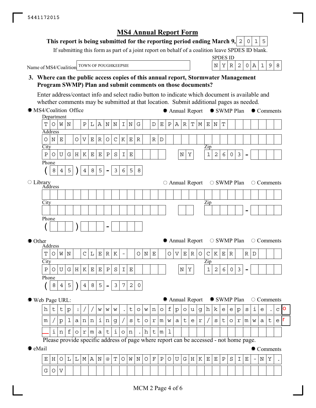$G | O | V$ 

## **MS4 Annual Report Form**

#### **This report is being submitted for the reporting period ending March 9,**  $0|1|5$

If submitting this form as part of a joint report on behalf of a coalition leave SPDES ID blank.

Name of MS4/Coalition

SPDES ID TOWN OF POUGHKEEPSIE  $|N|Y|R|2|0|A|1|9|8$ 

#### **3. Where can the public access copies of this annual report, Stormwater Management Program SWMP) Plan and submit comments on those documents?**

Enter address/contact info and select radio button to indicate which document is available and whether comments may be submitted at that location. Submit additional pages as needed.

| • MS4/Coalition Office |                |                |                |             |             |                |             |                    |                          |                |                          |                                                                                       |                     |             |               |             |              | • Annual Report • SWMP Plan |             |             |             |                                                                                                |                |                                                   |                     |                   |             |                    | • Comments       |         |              |         |
|------------------------|----------------|----------------|----------------|-------------|-------------|----------------|-------------|--------------------|--------------------------|----------------|--------------------------|---------------------------------------------------------------------------------------|---------------------|-------------|---------------|-------------|--------------|-----------------------------|-------------|-------------|-------------|------------------------------------------------------------------------------------------------|----------------|---------------------------------------------------|---------------------|-------------------|-------------|--------------------|------------------|---------|--------------|---------|
|                        | Department     |                |                |             |             |                |             |                    |                          |                |                          |                                                                                       |                     |             |               |             |              |                             |             |             |             |                                                                                                |                |                                                   |                     |                   |             |                    |                  |         |              |         |
|                        | T              | Ω              | W              | $\mathbf N$ |             | $\, {\bf P}$   | $\mathbf L$ | $\, {\bf A}$       | $\mathbf N$              | $\mathbf N$    | $\mathbf I$              | $\mathbf N$                                                                           | ${\bf G}$           |             | $\mathbb D$   | $\mathbf E$ | $\, {\bf P}$ | $\mathbb A$                 | $\mathbb R$ | $\mathbf T$ | $\mathbb M$ | $\mathbf{E}% _{t}\left  \mathbf{1}\right\rangle =\mathbf{1}_{t}\left  \mathbf{1}\right\rangle$ | $\mathbf N$    | $\mathbf T$                                       |                     |                   |             |                    |                  |         |              |         |
|                        |                | <b>Address</b> |                |             |             |                |             |                    |                          |                |                          |                                                                                       |                     |             |               |             |              |                             |             |             |             |                                                                                                |                |                                                   |                     |                   |             |                    |                  |         |              |         |
|                        | Ο              | $\rm N$        | $\mathbf E$    |             | $\circ$     | $\mathbf V$    | $\mathbf E$ | ${\mathbb R}$      | O                        | $\mathsf{C}$   | K                        | $\mathbf E$                                                                           | ${\mathbb R}$       |             | ${\mathbb R}$ | $\mathbf D$ |              |                             |             |             |             |                                                                                                |                |                                                   |                     |                   |             |                    |                  |         |              |         |
|                        | City           |                |                |             |             |                |             |                    |                          |                |                          |                                                                                       |                     |             |               |             |              |                             |             |             |             | $\overline{\mathrm{Zip}}$                                                                      |                |                                                   |                     |                   |             |                    |                  |         |              |         |
|                        | $\overline{P}$ | $\circ$        | $\mathbf U$    | G           | $\mathbf H$ | $\rm K$        | $\mathbf E$ | $\mathbf E$        | $\, {\bf P}$             | $\rm S$        | I                        | $\mathbf E$                                                                           |                     |             |               |             |              |                             | $\mathbf N$ | Υ           |             | $\mathbf{1}$                                                                                   | $\overline{2}$ | 6                                                 | $\mathsf{O}\xspace$ | $\mathfrak{Z}$    |             |                    |                  |         |              |         |
|                        | Phone          |                |                |             |             |                |             |                    |                          |                |                          |                                                                                       |                     |             |               |             |              |                             |             |             |             |                                                                                                |                |                                                   |                     |                   |             |                    |                  |         |              |         |
|                        |                | 8              | $\overline{4}$ | 5           |             | $\overline{4}$ | $\,8\,$     | 5                  | $\blacksquare$           | $\mathfrak{Z}$ | 6                        | 5                                                                                     | $\,8\,$             |             |               |             |              |                             |             |             |             |                                                                                                |                |                                                   |                     |                   |             |                    |                  |         |              |         |
| O Library<br>Address   |                |                |                |             |             |                |             |                    |                          |                |                          |                                                                                       |                     |             |               |             |              | $\circ$ Annual Report       |             |             |             |                                                                                                |                |                                                   |                     | $\circ$ SWMP Plan |             |                    | $\circ$ Comments |         |              |         |
|                        |                |                |                |             |             |                |             |                    |                          |                |                          |                                                                                       |                     |             |               |             |              |                             |             |             |             |                                                                                                |                |                                                   |                     |                   |             |                    |                  |         |              |         |
|                        | City           |                |                |             |             |                |             |                    |                          |                |                          |                                                                                       |                     |             |               |             |              |                             |             |             |             | Zip                                                                                            |                |                                                   |                     |                   |             |                    |                  |         |              |         |
|                        |                |                |                |             |             |                |             |                    |                          |                |                          |                                                                                       |                     |             |               |             |              |                             |             |             |             |                                                                                                |                |                                                   |                     |                   |             |                    |                  |         |              |         |
|                        | Phone          |                |                |             |             |                |             |                    |                          |                |                          |                                                                                       |                     |             |               |             |              |                             |             |             |             |                                                                                                |                |                                                   |                     |                   |             |                    |                  |         |              |         |
|                        |                |                |                |             |             |                |             |                    |                          |                |                          |                                                                                       |                     |             |               |             |              |                             |             |             |             |                                                                                                |                |                                                   |                     |                   |             |                    |                  |         |              |         |
| ● Other                |                | Address        |                |             |             |                |             |                    |                          |                |                          |                                                                                       |                     |             |               |             |              | ● Annual Report             |             |             |             |                                                                                                |                |                                                   |                     | ○ SWMP Plan       |             |                    | ○ Comments       |         |              |         |
|                        | T              | O              | W              | $\mathbb N$ |             | $\mathsf C$    | $\mathbf L$ | $\mathbf E$        | $\mathbb R$              | $\rm K$        | $\overline{\phantom{m}}$ |                                                                                       | $\bigcirc$          | $\mathbf N$ | $\mathbf E$   |             | $\bigcirc$   | $\boldsymbol{\nabla}$       | $\mathbf E$ | $\mathbb R$ | $\bigcirc$  | $\mathsf C$                                                                                    | K              | $\mathbf{E}% _{0}$                                | ${\mathbb R}$       |                   | $\mathbb R$ | $\mathbb D$        |                  |         |              |         |
|                        | City           |                |                |             |             |                |             |                    |                          |                |                          |                                                                                       |                     |             |               |             |              |                             |             |             |             | Zip                                                                                            |                |                                                   |                     |                   |             |                    |                  |         |              |         |
|                        | $\, {\bf P}$   | $\circ$        | $\mathbf U$    | ${\bf G}$   | $\rm H$     | ${\bf K}$      | $\mathbf E$ | $\mathbf E$        | $\, {\bf P}$             | $\rm S$        | I                        | $\mathbf E$                                                                           |                     |             |               |             |              |                             | $\mathbf N$ | Υ           |             | $\mathbf{1}$                                                                                   | $\overline{2}$ | 6                                                 | $\mathsf{O}\xspace$ | $\mathfrak{Z}$    |             |                    |                  |         |              |         |
|                        | Phone          |                |                |             |             |                |             |                    |                          |                |                          |                                                                                       |                     |             |               |             |              |                             |             |             |             |                                                                                                |                |                                                   |                     |                   |             |                    |                  |         |              |         |
|                        |                | 8              | $\overline{4}$ | 5           |             | $\overline{4}$ | $\,8\,$     | 5                  | $\overline{\phantom{a}}$ | $\mathfrak{Z}$ | $\overline{7}$           | $\overline{2}$                                                                        | $\mathsf{O}\xspace$ |             |               |             |              |                             |             |             |             |                                                                                                |                |                                                   |                     |                   |             |                    |                  |         |              |         |
| ● Web Page URL:        |                |                |                |             |             |                |             |                    |                          |                |                          |                                                                                       |                     |             |               |             |              | Annual Report               |             |             |             |                                                                                                |                |                                                   |                     | ● SWMP Plan       |             |                    | $\circ$ Comments |         |              |         |
|                        | h              | $\sf t$        | $\sf t$        | p           | :           |                |             | W                  | W                        | W              |                          | $\sf t$                                                                               | O                   | W           | n             | $\circ$     | $\mathbf f$  | p                           | O           | u           | $\mathsf g$ | h                                                                                              | k              | $\mathsf{e}% _{t}\!\left( \mathcal{A}_{t}\right)$ | е                   | $\rm p$           | $\mathbf s$ | $\dot{\mathtt{l}}$ | e                |         | $\mathsf{C}$ | $\circ$ |
|                        | m              |                | $\mathbf{p}$   | 1           | a           | n              | n           | $\dot{\mathbf{1}}$ | n                        | g              |                          | S                                                                                     | $\sf t$             | $\circ$     | $\Upsilon$    | m           | W            | a                           | $\sf t$     | e           | r           |                                                                                                | S              | $\sf t$                                           | $\circ$             | r                 | m           | W                  | a                | $\sf t$ | r<br>е       |         |
|                        |                | i.             | n              | $\mathbf f$ | $\circ$     | $\Upsilon$     | m           | a                  | $\mathsf t$              | $\dot{1}$      | $\circ$                  | n                                                                                     |                     | $\,$ h      | $\lfloor$ t   | m           | $\mathbf 1$  |                             |             |             |             |                                                                                                |                |                                                   |                     |                   |             |                    |                  |         |              |         |
|                        |                |                |                |             |             |                |             |                    |                          |                |                          |                                                                                       |                     |             |               |             |              |                             |             |             |             |                                                                                                |                |                                                   |                     |                   |             |                    |                  |         |              |         |
|                        |                |                |                |             |             |                |             |                    |                          |                |                          | Please provide specific address of page where report can be accessed - not home page. |                     |             |               |             |              |                             |             |             |             |                                                                                                |                |                                                   |                     |                   |             |                    |                  |         |              |         |
| $\bullet$ eMail        |                |                |                |             |             |                |             |                    |                          |                |                          |                                                                                       |                     |             |               |             |              |                             |             |             |             |                                                                                                |                |                                                   |                     |                   |             |                    | Comments         |         |              |         |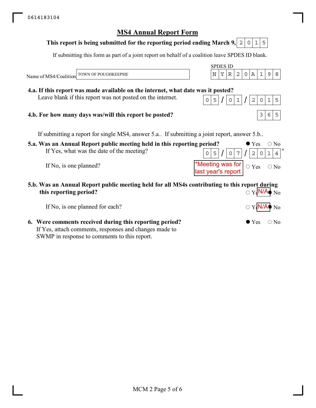#### **This report is being submitted for the reporting period ending March 9, 2 2 0 1 5**

If submitting this form as part of a joint report on behalf of a coalition leave SPDES ID blank.

**5.a. Was an Annual Report public meeting held in this reporting period?** If Yes, what was the date of the meeting? If No, is one planned? SPDES ID Name of MS4/Coalition  $\bullet$  Yes  $\circ$  No  $0 \mid 7$  $\bigcirc$  Yes  $\bigcirc$  No If submitting a report for single MS4, answer 5.a.. If submitting a joint report, answer 5.b.. **5.b. Was an Annual Report public meeting held for all MS4s contributing to this report during this reporting period?**  $\overline{\mathrm{O Y}}$ <sub>s</sub> $N/A$ <sub>s</sub> $N_0$ **4.a. If this report was made available on the internet, what date was it posted?** Leave blank if this report was not posted on the internet. **4.b. For how many days was/will this report be posted?** \*Meeting was for last year's report N/A TOWN OF POUGHKEEPSIE  $|N|Y|R|2|0|A|1|9|8$  $0|5|/|0|1|/|2|0|1|5$  $3|6|5$  $0|5|/|0|7|/|2|0|1|4$ 

If No, is one planned for each?

**6. Were comments received during this reporting period?** If Yes, attach comments, responses and changes made to SWMP in response to comments to this report.

 $\bullet$  Yes  $\circ$  No

N/A

N<sub>o</sub>

\*

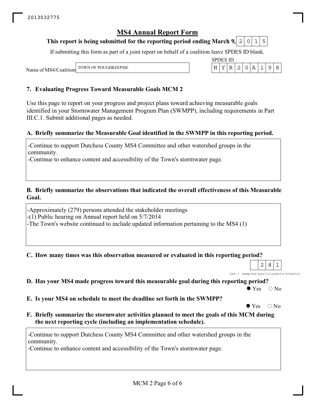#### This report is being submitted for the reporting period ending March 9,  $\mid$  2  $\mid$  0  $\mid$  1  $\mid$  5

If submitting this form as part of a joint report on behalf of a coalition leave SPDES ID blank.

SPDES ID

Name of MS4/Coalition TOWN OF POUGHKEEPSIE  $\vert N \vert Y \vert R \vert 2 \vert 0 \vert A \vert 1 \vert 9 \vert 8$ 

#### **7. Evaluating Progress Toward Measurable Goals MCM 2**

Use this page to report on your progress and project plans toward achieving measurable goals identified in your Stormwater Management Program Plan (SWMPP), including requirements in Part III.C.1. Submit additional pages as needed.

#### **A. Briefly summarize the Measurable Goal identified in the SWMPP in this reporting period.**

-Continue to support Dutchess County MS4 Committee and other watershed groups in the community.

-Continue to enhance content and accessibility of the Town's stormwater page.

#### **B. Briefly summarize the observations that indicated the overall effectiveness of this Measurable Goal.**

-Approximately (279) persons attended the stakeholder meetings

-(1) Public hearing on Annual report held on 5/7/2014

-The Town's website continued to include updated information pertaining to the MS4 (1)

**C. How many times was this observation measured or evaluated in this reporting period?**

*(ex.: samples/participants/events)*  $2|8|1$ 

**D. Has your MS4 made progress toward this measurable goal during this reporting period?**

 $\bullet$  Yes  $\circ$  No

**E. Is your MS4 on schedule to meet the deadline set forth in the SWMPP?**

 $\bullet$  Yes  $\circ$  No

**F. Briefly summarize the stormwater activities planned to meet the goals of this MCM during the next reporting cycle (including an implementation schedule).**

-Continue to support Dutchess County MS4 Committee and other watershed groups in the community.

-Continue to enhance content and accessibility of the Town's stormwater page.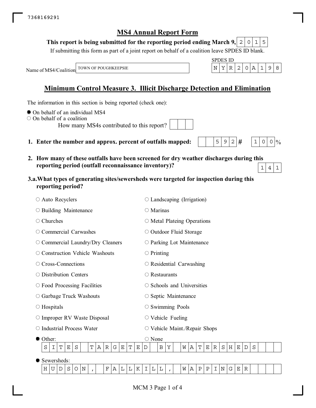#### This report is being submitted for the reporting period ending March 9,  $\mid$  2  $\mid$  0  $\mid$  1  $\mid$  5

If submitting this form as part of a joint report on behalf of a coalition leave SPDES ID blank.

SPDES ID

 $5|9|2|#$ 

 $1 | 0 | 0 | 0$ 

Name of MS4/Coalition TOWN OF POUGHKEEPSIE  $|N|Y|R|2|0|A|1|9|8$ 

## **Minimum Control Measure 3. Illicit Discharge Detection and Elimination**

The information in this section is being reported (check one):

- $\bullet$  On behalf of an individual MS4
- $\circ$  On behalf of a coalition

How many MS4s contributed to this report?

- **1. Enter the number and approx. percent of outfalls mapped:**
- **2. How many of these outfalls have been screened for dry weather discharges during this reporting period (outfall reconnaissance inventory)?**  $1|4|1$
- **3.a.What types of generating sites/sewersheds were targeted for inspection during this reporting period?**

|                   |                                                                    | $\circ$ Auto Recyclers             |   |             |   |                        |   |   |   |             |   |   | $\circ$ Landscaping (Irrigation)                |   |   |   |   |             |             |             |         |              |   |   |   |  |  |
|-------------------|--------------------------------------------------------------------|------------------------------------|---|-------------|---|------------------------|---|---|---|-------------|---|---|-------------------------------------------------|---|---|---|---|-------------|-------------|-------------|---------|--------------|---|---|---|--|--|
|                   |                                                                    | $\circ$ Building Maintenance       |   |             |   |                        |   |   |   |             |   |   | $\circ$ Marinas                                 |   |   |   |   |             |             |             |         |              |   |   |   |  |  |
| $\circ$ Churches  |                                                                    |                                    |   |             |   |                        |   |   |   |             |   |   | $\circ$ Metal Plateing Operations               |   |   |   |   |             |             |             |         |              |   |   |   |  |  |
|                   |                                                                    | $\circ$ Commercial Carwashes       |   |             |   |                        |   |   |   |             |   |   | $\circ$ Outdoor Fluid Storage                   |   |   |   |   |             |             |             |         |              |   |   |   |  |  |
|                   |                                                                    | O Commercial Laundry/Dry Cleaners  |   |             |   |                        |   |   |   |             |   |   | $\circ$ Parking Lot Maintenance                 |   |   |   |   |             |             |             |         |              |   |   |   |  |  |
|                   |                                                                    | ○ Construction Vehicle Washouts    |   |             |   |                        |   |   |   |             |   |   | $\circ$ Printing                                |   |   |   |   |             |             |             |         |              |   |   |   |  |  |
|                   |                                                                    | $\circ$ Cross-Connections          |   |             |   |                        |   |   |   |             |   |   | $\circ$ Residential Carwashing                  |   |   |   |   |             |             |             |         |              |   |   |   |  |  |
|                   |                                                                    |                                    |   |             |   | $\bigcirc$ Restaurants |   |   |   |             |   |   |                                                 |   |   |   |   |             |             |             |         |              |   |   |   |  |  |
|                   | $\circ$ Distribution Centers<br>$\circ$ Food Processing Facilities |                                    |   |             |   |                        |   |   |   |             |   |   | $\circ$ Schools and Universities                |   |   |   |   |             |             |             |         |              |   |   |   |  |  |
|                   |                                                                    | $\circ$ Garbage Truck Washouts     |   |             |   |                        |   |   |   |             |   |   | $\circ$ Septic Maintenance                      |   |   |   |   |             |             |             |         |              |   |   |   |  |  |
| $\circ$ Hospitals |                                                                    |                                    |   |             |   |                        |   |   |   |             |   |   | $\circ$ Swimming Pools                          |   |   |   |   |             |             |             |         |              |   |   |   |  |  |
|                   |                                                                    | $\circ$ Improper RV Waste Disposal |   |             |   |                        |   |   |   |             |   |   | $\circ$ Vehicle Fueling                         |   |   |   |   |             |             |             |         |              |   |   |   |  |  |
|                   |                                                                    | ○ Industrial Process Water         |   |             |   |                        |   |   |   |             |   |   | $\circlearrowright$ Vehicle Maint./Repair Shops |   |   |   |   |             |             |             |         |              |   |   |   |  |  |
| Other:            |                                                                    |                                    |   |             |   |                        |   |   |   |             |   |   | $\circ$ None                                    |   |   |   |   |             |             |             |         |              |   |   |   |  |  |
| S                 | I                                                                  | T<br>Ε                             | S |             | T | Α                      | R | G | Ε | $\mathbf T$ | Ε | D |                                                 | B | Υ | W | Α | $\mathbf T$ | $\mathbf E$ | $\mathbb R$ | $\rm S$ | $\, {\rm H}$ | Ε | D | S |  |  |
|                   |                                                                    | Sewersheds:                        |   |             |   |                        |   |   |   |             |   |   |                                                 |   |   |   |   |             |             |             |         |              |   |   |   |  |  |
| Н                 | U                                                                  | S<br>D                             | O | $\mathbf N$ |   |                        | F | Α | L | L           | K | I | L                                               | L |   | W | Α | Ρ           | Ρ           | I           | N       | G            | Ε | R |   |  |  |
|                   |                                                                    |                                    |   |             |   |                        |   |   |   |             |   |   |                                                 |   |   |   |   |             |             |             |         |              |   |   |   |  |  |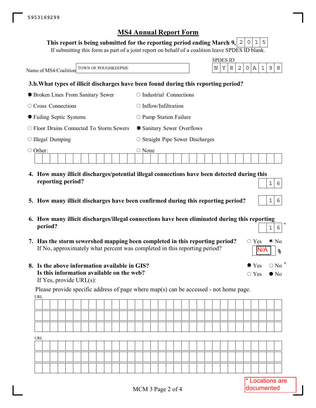|  | This report is being submitted for the reporting period ending March 9, 2 0 1 5 |  |  |  |  |
|--|---------------------------------------------------------------------------------|--|--|--|--|
|--|---------------------------------------------------------------------------------|--|--|--|--|

If submitting this form as part of a joint report on behalf of a coalition leave SPDES ID blank.

|                                                | <b>SPDES ID</b>                                                                             |
|------------------------------------------------|---------------------------------------------------------------------------------------------|
| TOWN OF POUGHKEEPSIE<br>Name of MS4/Coalition  | $\mathbb{A}$<br>$\mathbf{1}$<br>2 <sup>1</sup><br>$\mathsf{O}$<br>9<br>Υ<br>8<br>N<br>R     |
|                                                | 3.b. What types of illicit discharges have been found during this reporting period?         |
| • Broken Lines From Sanitary Sewer             | Industrial Connections                                                                      |
| $\circ$ Cross Connections                      | Inflow/Infiltration<br>$\cup$                                                               |
| • Failing Septic Systems                       | $\circ$ Pump Station Failure                                                                |
| $\circ$ Floor Drains Connected To Storm Sewers | • Sanitary Sewer Overflows                                                                  |
| $\circ$ Illegal Dumping                        | $\circ$ Straight Pipe Sewer Discharges                                                      |
| $\bigcirc$ Other:                              | $\bigcirc$ None                                                                             |
|                                                | 4. How many illicit discharges/potential illegal connections have been detected during this |

- **5. How many illicit discharges have been confirmed during this reporting period?**
- **6. How many illicit discharges/illegal connections have been eliminated during this reporting period?**  $16$
- **7. Has the storm sewershed mapping been completed in this reporting period?** If No, approximately what percent was completed in this reporting period?
- **8. Is the above information available in GIS? Is this information available on the web?** If Yes, provide URL(s):

**reporting period?**

URL Please provide specific address of page where map(s) can be accessed - not home page.

| URL |  |  |  |  |  |  |  |  |  |  |  |  |  |  |  |  |
|-----|--|--|--|--|--|--|--|--|--|--|--|--|--|--|--|--|
|     |  |  |  |  |  |  |  |  |  |  |  |  |  |  |  |  |
|     |  |  |  |  |  |  |  |  |  |  |  |  |  |  |  |  |
|     |  |  |  |  |  |  |  |  |  |  |  |  |  |  |  |  |

 $\circ$  Yes  $\bullet$  No

N/A

 $\bullet$  Yes  $\circ$  No

 $\circ$  Yes  $\bullet$  No

**%**

 $16$ 

 $16$ 

\*

\*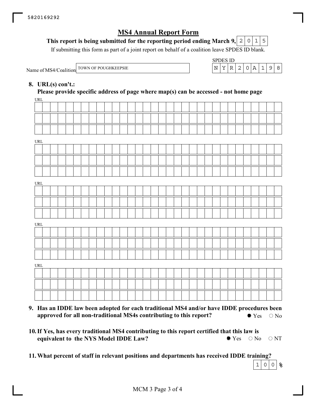#### **This report is being submitted for the reporting period ending March 9,**  $0|1|5$

If submitting this form as part of a joint report on behalf of a coalition leave SPDES ID blank.

Name of MS4/Coalition TOWN OF POUGHKEEPSIE

| SPDES ID. |  |        |   |  |  |
|-----------|--|--------|---|--|--|
|           |  | - 21 + | O |  |  |

#### **8. URL(s) con't.:**

**Please provide specific address of page where map(s) can be accessed - not home page**

| URL                                |  |  |  |  |  |  |  |  |  |  |  |  |  |  |  |  |
|------------------------------------|--|--|--|--|--|--|--|--|--|--|--|--|--|--|--|--|
|                                    |  |  |  |  |  |  |  |  |  |  |  |  |  |  |  |  |
|                                    |  |  |  |  |  |  |  |  |  |  |  |  |  |  |  |  |
|                                    |  |  |  |  |  |  |  |  |  |  |  |  |  |  |  |  |
| URL                                |  |  |  |  |  |  |  |  |  |  |  |  |  |  |  |  |
|                                    |  |  |  |  |  |  |  |  |  |  |  |  |  |  |  |  |
|                                    |  |  |  |  |  |  |  |  |  |  |  |  |  |  |  |  |
|                                    |  |  |  |  |  |  |  |  |  |  |  |  |  |  |  |  |
| URL                                |  |  |  |  |  |  |  |  |  |  |  |  |  |  |  |  |
|                                    |  |  |  |  |  |  |  |  |  |  |  |  |  |  |  |  |
|                                    |  |  |  |  |  |  |  |  |  |  |  |  |  |  |  |  |
|                                    |  |  |  |  |  |  |  |  |  |  |  |  |  |  |  |  |
| URL                                |  |  |  |  |  |  |  |  |  |  |  |  |  |  |  |  |
|                                    |  |  |  |  |  |  |  |  |  |  |  |  |  |  |  |  |
|                                    |  |  |  |  |  |  |  |  |  |  |  |  |  |  |  |  |
|                                    |  |  |  |  |  |  |  |  |  |  |  |  |  |  |  |  |
| $\ensuremath{\mathsf{URL}}\xspace$ |  |  |  |  |  |  |  |  |  |  |  |  |  |  |  |  |
|                                    |  |  |  |  |  |  |  |  |  |  |  |  |  |  |  |  |
|                                    |  |  |  |  |  |  |  |  |  |  |  |  |  |  |  |  |
|                                    |  |  |  |  |  |  |  |  |  |  |  |  |  |  |  |  |
|                                    |  |  |  |  |  |  |  |  |  |  |  |  |  |  |  |  |

- **9. Has an IDDE law been adopted for each traditional MS4 and/or have IDDE procedures been approved for all non-traditional MS4s contributing to this report?**  $\bullet$  Yes  $\circ$  No
- **10. If Yes, has every traditional MS4 contributing to this report certified that this law is equivalent to the NYS Model IDDE Law?**  $\bullet$  Yes  $\circ$  No  $\circ$  NT

**11.What percent of staff in relevant positions and departments has received IDDE training?**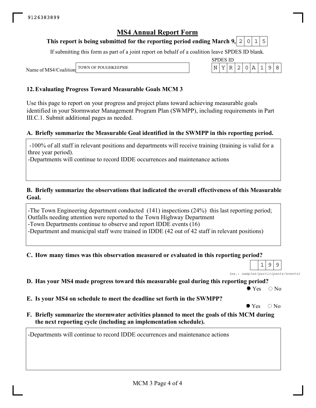#### This report is being submitted for the reporting period ending March 9,  $\mid$  2  $\mid$  0  $\mid$  1  $\mid$  5

If submitting this form as part of a joint report on behalf of a coalition leave SPDES ID blank.

SPDES ID

Name of MS4/Coalition TOWN OF POUGHKEEPSIE  $\vert N \vert Y \vert R \vert 2 \vert 0 \vert A \vert 1 \vert 9 \vert 8$ 

#### **12.Evaluating Progress Toward Measurable Goals MCM 3**

Use this page to report on your progress and project plans toward achieving measurable goals identified in your Stormwater Management Program Plan (SWMPP), including requirements in Part III.C.1. Submit additional pages as needed.

#### **A. Briefly summarize the Measurable Goal identified in the SWMPP in this reporting period.**

 -100% of all staff in relevant positions and departments will receive training (training is valid for a three year period).

-Departments will continue to record IDDE occurrences and maintenance actions

#### **B. Briefly summarize the observations that indicated the overall effectiveness of this Measurable Goal.**

-The Town Engineering department conducted (141) inspections (24%) this last reporting period; Outfalls needing attention were reported to the Town Highway Department -Town Departments continue to observe and report IDDE events (16) -Department and municipal staff were trained in IDDE (42 out of 42 staff in relevant positions)

#### **C. How many times was this observation measured or evaluated in this reporting period?**

*(ex.: samples/participants/events)*  $1|9|9$ 

**D. Has your MS4 made progress toward this measurable goal during this reporting period?**

 $\bullet$  Yes  $\circ$  No

**E. Is your MS4 on schedule to meet the deadline set forth in the SWMPP?**

 $\bullet$  Yes  $\circ$  No

**F. Briefly summarize the stormwater activities planned to meet the goals of this MCM during the next reporting cycle (including an implementation schedule).**

-Departments will continue to record IDDE occurrences and maintenance actions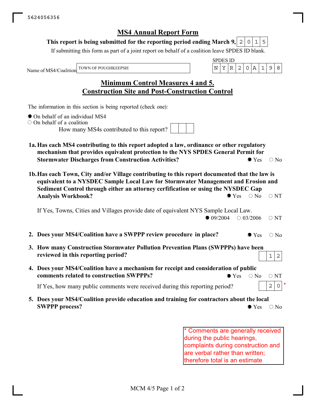#### This report is being submitted for the reporting period ending March 9, $\mid$  2  $\mid$  0  $\mid$  1  $\mid$  5

If submitting this form as part of a joint report on behalf of a coalition leave SPDES ID blank.

Name of MS4/Coalition

SPDES ID TOWN OF POUGHKEEPSIE  $\vert N \vert Y \vert R \vert 2 \vert 0 \vert A \vert 1 \vert 9 \vert 8$ 

## **Minimum Control Measures 4 and 5. Construction Site and Post-Construction Control**

The information in this section is being reported (check one):

- On behalf of an individual MS4
- $\circ$  On behalf of a coalition

How many MS4s contributed to this report?

- **1a.Has each MS4 contributing to this report adopted a law, ordinance or other regulatory mechanism that provides equivalent protection to the NYS SPDES General Permit for Stormwater Discharges from Construction Activities?**  $\bullet$  Yes  $\circ$  No
- **1b.Has each Town, City and/or Village contributing to this report documented that the law is equivalent to a NYSDEC Sample Local Law for Stormwater Management and Erosion and Sediment Control through either an attorney cerfification or using the NYSDEC Gap Analysis Workbook?**  $\bullet$  Yes  $\circ$  No  $\circ$  NT

If Yes, Towns, Cities and Villages provide date of equivalent NYS Sample Local Law.  $\bullet$  09/2004  $\circ$  03/2006  $\circ$  NT

- **2. Does your MS4/Coalition have a SWPPP review procedure in place?**  $\bullet$  Yes  $\circ$  No
- **3. How many Construction Stormwater Pollution Prevention Plans (SWPPPs) have been reviewed in this reporting period?**
- **4. Does your MS4/Coalition have a mechanism for receipt and consideration of public comments related to construction SWPPPs?**  $\bullet$  Yes  $\circ$  No  $\circ$  NT

If Yes, how many public comments were received during this reporting period?

**5. Does your MS4/Coalition provide education and training for contractors about the local SWPPP process?**  $\bullet$  Yes  $\circ$  No

> Comments are generally received during the public hearings, complaints during construction and are verbal rather than written; therefore total is an estimate

\*

 $1 \mid 2$ 

 $2$  0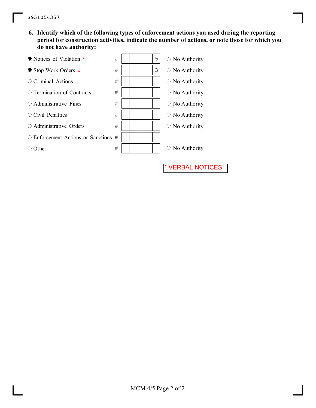**6. Identify which of the following types of enforcement actions you used during the reporting period for construction activities, indicate the number of actions, or note those for which you do not have authority:**

**VERBAL NOTICES:** 

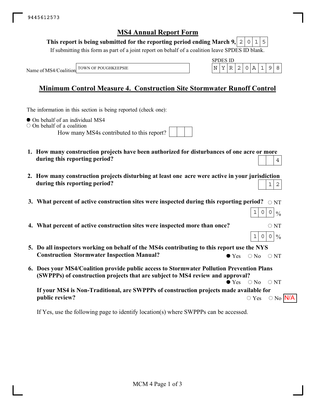#### This report is being submitted for the reporting period ending March 9, $\mid$  2  $\mid$  0  $\mid$  1  $\mid$  5

If submitting this form as part of a joint report on behalf of a coalition leave SPDES ID blank.

SPDES ID

 $1|0|0|\%$ 

 $1|0|0|\%$ 

Name of MS4/Coalition TOWN OF POUGHKEEPSIE  $\vert N \vert Y \vert R \vert 2 \vert 0 \vert A \vert 1 \vert 9 \vert 8$ 

## **Minimum Control Measure 4. Construction Site Stormwater Runoff Control**

The information in this section is being reported (check one):

 $\bullet$  On behalf of an individual MS4

On behalf of a coalition

How many MS4s contributed to this report?

- **1. How many construction projects have been authorized for disturbances of one acre or more during this reporting period?** 4
- **2. How many construction projects disturbing at least one acre were active in your jurisdiction during this reporting period?**  $1 \mid 2$
- 3. What percent of active construction sites were inspected during this reporting period?  $\;\circ$   $_{\rm NT}$
- **4. What percent of active construction sites were inspected more than once?**  $\circ$  NT
- **5. Do all inspectors working on behalf of the MS4s contributing to this report use the NYS Construction Stormwater Inspection Manual?**  $\bullet$  Yes  $\circ$  No  $\circ$  NT
- **6. Does your MS4/Coalition provide public access to Stormwater Pollution Prevention Plans (SWPPPs) of construction projects that are subject to MS4 review and approval?**<br>• Yes  $\bigcirc$  No  $\bigcirc$  NT

**If your MS4 is Non-Traditional, are SWPPPs of construction projects made available for public review?**  $Yes \quad \circ$  No  $N/A$ 

If Yes, use the following page to identify location(s) where SWPPPs can be accessed.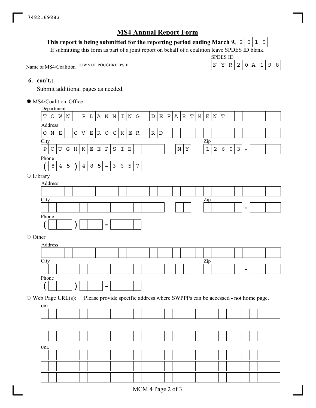### This report is being submitted for the reporting period ending March 9,  $\mid$  2  $\mid$  0  $\mid$  1  $\mid$  5

If submitting this form as part of a joint report on behalf of a coalition leave SPDES ID blank.

Name of MS4/Coalition TOWN OF POUGHKEEPSIE  $N \mid Y \mid R \mid 2 \mid 0 \mid A \mid 1 \mid 9 \mid 8$ 

SPDES ID

#### **6. con't.:**

Submit additional pages as needed.

**City** Department Address Zip - Phone  $( 8 | 4 | 5) 4 | 8 | 5 -$ **City** Address Zip - Phone ( ) - **City** Address Zip - Phone  $(| | | | |)$   $|| | | -$ URL MS4/Coalition Office Library ○ Other  $\circ$  Web Page URL(s): Please provide specific address where SWPPPs can be accessed - not home page. URL  $T$ |O|W|N| |P|L|A|N|N|I|N|G| |D|E|P|A|R|T|M|E|N|T ONE OVEROCKER RD POUGHKEEPSIE NY 12603  $8|4|5|$   $|4|8|5|$  -  $|3|6|5|7$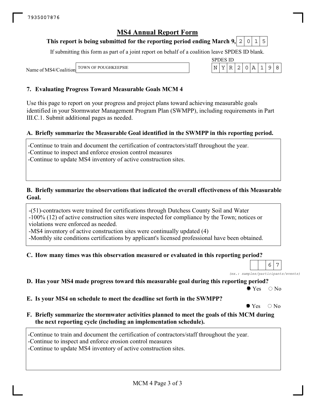#### This report is being submitted for the reporting period ending March 9,  $\mid$  2  $\mid$  0  $\mid$  1  $\mid$  5

If submitting this form as part of a joint report on behalf of a coalition leave SPDES ID blank.

SPDES ID

Name of MS4/Coalition TOWN OF POUGHKEEPSIE  $\vert N \vert Y \vert R \vert 2 \vert 0 \vert A \vert 1 \vert 9 \vert 8$ 

#### **7. Evaluating Progress Toward Measurable Goals MCM 4**

Use this page to report on your progress and project plans toward achieving measurable goals identified in your Stormwater Management Program Plan (SWMPP), including requirements in Part III.C.1. Submit additional pages as needed.

#### **A. Briefly summarize the Measurable Goal identified in the SWMPP in this reporting period.**

-Continue to train and document the certification of contractors/staff throughout the year.

-Continue to inspect and enforce erosion control measures

-Continue to update MS4 inventory of active construction sites.

#### **B. Briefly summarize the observations that indicated the overall effectiveness of this Measurable Goal.**

-(51)-contractors were trained for certifications through Dutchess County Soil and Water

-100% (12) of active construction sites were inspected for compliance by the Town; notices or violations were enforced as needed.

-MS4 inventory of active construction sites were continually updated (4)

-Monthly site conditions certifications by applicant's licensed professional have been obtained.

#### **C. How many times was this observation measured or evaluated in this reporting period?**

 $6 \mid 7$ 

*(ex.: samples/participants/events)*

**D. Has your MS4 made progress toward this measurable goal during this reporting period?**

 $\bullet$  Yes  $\circ$  No

**E. Is your MS4 on schedule to meet the deadline set forth in the SWMPP?**

 $\bullet$  Yes  $\circ$  No

**F. Briefly summarize the stormwater activities planned to meet the goals of this MCM during the next reporting cycle (including an implementation schedule).**

-Continue to train and document the certification of contractors/staff throughout the year.

-Continue to inspect and enforce erosion control measures

-Continue to update MS4 inventory of active construction sites.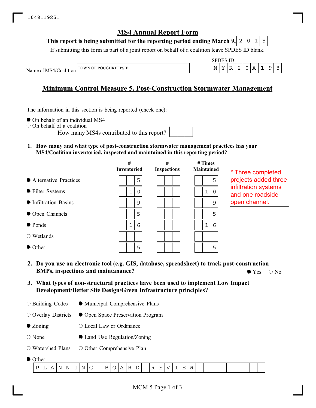### This report is being submitted for the reporting period ending March 9,  $\mid$  2  $\mid$  0  $\mid$  1  $\mid$  5

If submitting this form as part of a joint report on behalf of a coalition leave SPDES ID blank.

SPDES ID

Name of MS4/Coalition TOWN OF POUGHKEEPSIE  $\vert N \vert Y \vert R \vert 2 \vert 0 \vert A \vert 1 \vert 9 \vert 8$ 

## **Minimum Control Measure 5. Post-Construction Stormwater Management**

The information in this section is being reported (check one):

- $\bullet$  On behalf of an individual MS4
- On behalf of a coalition

How many MS4s contributed to this report?

**1. How many and what type of post-construction stormwater management practices has your MS4/Coalition inventoried, inspected and maintained in this reporting period?**

|                         | #<br><b>Inventoried</b> | #<br><b>Inspections</b> | $#$ Times<br>Maintained | <sup>*</sup> Three completed             |
|-------------------------|-------------------------|-------------------------|-------------------------|------------------------------------------|
| • Alternative Practices | 5                       |                         | 5                       | projects added three                     |
| • Filter Systems        | 1<br>$\Omega$           |                         | $\mathbf 1$<br>$\Omega$ | infiltration systems<br>and one roadside |
| • Infiltration Basins   | 9                       |                         | 9                       | open channel.                            |
| • Open Channels         | 5                       |                         | 5                       |                                          |
| $\bullet$ Ponds         | 6<br>1                  |                         | $\mathbf{1}$<br>6       |                                          |
| $\circ$ Wetlands        |                         |                         |                         |                                          |
| • Other                 | 5                       |                         | 5                       |                                          |
|                         |                         |                         |                         |                                          |

- **2. Do you use an electronic tool (e.g. GIS, database, spreadsheet) to track post-construction BMPs, inspections and maintanance?**  $\bullet$  Yes  $\circ$  No
- **3. What types of non-structural practices have been used to implement Low Impact Development/Better Site Design/Green Infrastructure principles?**
- O Building Codes Municipal Comprehensive Plans

Overlay Districts Open Space Preservation Program

- Zoning Local Law or Ordinance
- None Land Use Regulation/Zoning
- Watershed Plans O Other Comprehensive Plan
- Other:

| $\blacksquare$<br>$\tilde{\phantom{a}}$<br>$ -$<br>$\sim$ $\sim$<br><sup>N</sup><br>NL.<br>N<br>. .<br>◡<br>ь<br>. .<br>-<br>◡<br>. .<br>- 12<br><b>. .</b><br>-<br>. .<br>. .<br>. .<br>. .<br>. .<br>-<br>$ -$ | . |  |  |  |  |  |  |  |  |  |  |  |  |  |  |
|------------------------------------------------------------------------------------------------------------------------------------------------------------------------------------------------------------------|---|--|--|--|--|--|--|--|--|--|--|--|--|--|--|
|                                                                                                                                                                                                                  |   |  |  |  |  |  |  |  |  |  |  |  |  |  |  |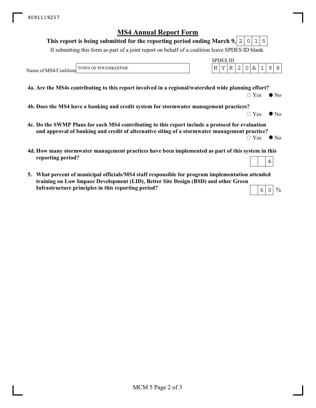#### This report is being submitted for the reporting period ending March 9,  $\mid$  2  $\mid$  0  $\mid$  1  $\mid$  5

If submitting this form as part of a joint report on behalf of a coalition leave SPDES ID blank.

Name of MS4/Coalition TOWN OF POUGHKEEPSIE  $\vert N \vert Y \vert R \vert 2 \vert 0 \vert A \vert 1 \vert 9 \vert 8$ 

**4a. Are the MS4s contributing to this report involved in a regional/watershed wide planning effort?**

 $\bigcirc$  Yes  $\bigcirc$  No

 $\circ$  Yes  $\bullet$  No

SPDES ID

**4b. Does the MS4 have a banking and credit system for stormwater management practices?**

- **4c. Do the SWMP Plans for each MS4 contributing to this report include a protocol for evaluation and approval of banking and credit of alternative siting of a stormwater management practice?**
	- $\circ$  Yes  $\bullet$  No

 $\frac{0}{0}$ 

- **4d. How many stormwater management practices have been implemented as part of this system in this reporting period?** 4
- **5. What percent of municipal officials/MS4 staff responsible for program implementation attended training on Low Impace Development (LID), Better Site Design (BSD) and other Green Infrastructure principles in this reporting period?**  $6$  0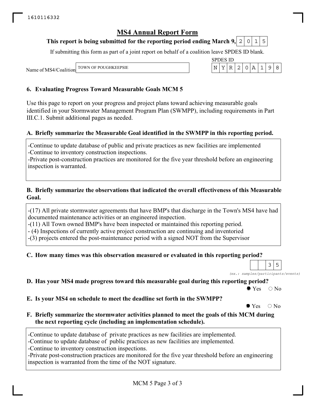#### This report is being submitted for the reporting period ending March 9,  $\mid$  2  $\mid$  0  $\mid$  1  $\mid$  5

If submitting this form as part of a joint report on behalf of a coalition leave SPDES ID blank.

SPDES ID

Name of MS4/Coalition TOWN OF POUGHKEEPSIE  $\vert N \vert Y \vert R \vert 2 \vert 0 \vert A \vert 1 \vert 9 \vert 8$ 

#### **6. Evaluating Progress Toward Measurable Goals MCM 5**

Use this page to report on your progress and project plans toward achieving measurable goals identified in your Stormwater Management Program Plan (SWMPP), including requirements in Part III.C.1. Submit additional pages as needed.

#### **A. Briefly summarize the Measurable Goal identified in the SWMPP in this reporting period.**

-Continue to update database of public and private practices as new facilities are implemented -Continue to inventory construction inspections.

-Private post-construction practices are monitored for the five year threshold before an engineering inspection is warranted.

#### **B. Briefly summarize the observations that indicated the overall effectiveness of this Measurable Goal.**

-(17) All private stormwater agreements that have BMP's that discharge in the Town's MS4 have had documented maintenance activities or an engineered inspection.

-(11) All Town owned BMP's have been inspected or maintained this reporting period.

- (4) Inspections of currently active project construction are continuing and inventoried

-(3) projects entered the post-maintenance period with a signed NOT from the Supervisor

#### **C. How many times was this observation measured or evaluated in this reporting period?**

*(ex.: samples/participants/events)*  $3 \mid 5$ 

**D. Has your MS4 made progress toward this measurable goal during this reporting period?**

 $\bullet$  Yes  $\circ$  No

**E. Is your MS4 on schedule to meet the deadline set forth in the SWMPP?**

 $\bullet$  Yes  $\circ$  No

**F. Briefly summarize the stormwater activities planned to meet the goals of this MCM during the next reporting cycle (including an implementation schedule).**

-Continue to update database of private practices as new facilities are implemented.

-Continue to update database of public practices as new facilities are implemented.

-Continue to inventory construction inspections.

-Private post-construction practices are monitored for the five year threshold before an engineering inspection is warranted from the time of the NOT signature.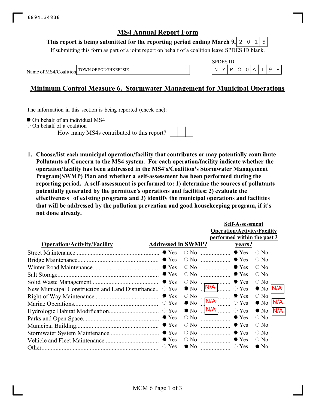#### This report is being submitted for the reporting period ending March 9,  $\mid$  2  $\mid$  0  $\mid$  1  $\mid$  5

If submitting this form as part of a joint report on behalf of a coalition leave SPDES ID blank.

Name of MS4/Coalition



## **Minimum Control Measure 6. Stormwater Management for Municipal Operations**

The information in this section is being reported (check one):

 $\bullet$  On behalf of an individual MS4

 $\circ$  On behalf of a coalition

How many MS4s contributed to this report?



**1. Choose/list each municipal operation/facility that contributes or may potentially contribute Pollutants of Concern to the MS4 system. For each operation/facility indicate whether the operation/facility has been addressed in the MS4's/Coalition's Stormwater Management Program(SWMP) Plan and whether a self-assessment has been performed during the reporting period. A self-assessment is performed to: 1) determine the sources of pollutants potentially generated by the permittee's operations and facilities; 2) evaluate the effectiveness of existing programs and 3) identify the municipal operations and facilities that will be addressed by the pollution prevention and good housekeeping program, if it's not done already.**

|                                                 |                           |                                                                                            | <b>Self-Assessment</b>             |                    |     |
|-------------------------------------------------|---------------------------|--------------------------------------------------------------------------------------------|------------------------------------|--------------------|-----|
|                                                 |                           |                                                                                            | <b>Operation/Activity/Facility</b> |                    |     |
|                                                 |                           |                                                                                            | performed within the past 3        |                    |     |
| <b>Operation/Activity/Facility</b>              | <b>Addressed in SWMP?</b> |                                                                                            | <u>years?</u>                      |                    |     |
|                                                 |                           | $\circ$ No                                                                                 | $\bullet$ Yes                      | $\bigcirc$ No      |     |
|                                                 | $\bullet$ Yes             |                                                                                            | $\bullet$ Yes                      | $\bigcirc$ No      |     |
|                                                 | $\bullet$ Yes             |                                                                                            |                                    | $\circ$ No         |     |
|                                                 | $\bullet$ Yes             |                                                                                            | $\bullet$ Yes                      | $\circ$ No         |     |
|                                                 | $\bullet$ Yes             | $\circ$ No $\cdots$                                                                        | $\bullet$ Yes                      | $\bigcirc$ No      |     |
| New Municipal Construction and Land Disturbance | $\circ$ Yes               | $\bullet$ No $\blacksquare$ N/A $\blacksquare$                                             | $\circ$ Yes                        | $\bullet$ No $N/A$ |     |
|                                                 | $\bullet$ Yes             | $\circ$ No $\frac{ }{ }$                                                                   | $\bullet$ Yes<br>.                 | $\bigcirc$ No      |     |
|                                                 | $\circ$ Yes               | $\bullet$ No $\overline{\mathsf{N/A}}$ $\overline{\mathsf{N/A}}$                           | $\circ$ Yes                        | $\bullet$ No       | N/A |
|                                                 | $\bigcirc$ Yes            | $\bullet$ No $\overline{\mathsf{N/A}}$ $\overline{\mathsf{N/A}}$ $\overline{\mathsf{N/A}}$ | $\circ$ Yes                        | $\bullet$ No       | N/A |
|                                                 | $\bullet$ Yes             | $\circ$ No                                                                                 | $\bullet$ Yes                      | $\bigcirc$ No      |     |
|                                                 | $\bullet$ Yes             | $\circ$ No                                                                                 | $\bullet$ Yes                      | $\circ$ No         |     |
|                                                 | $\bullet$ Yes             | $\circ$ No                                                                                 | $\bullet$ Yes                      | $\bigcirc$ No      |     |
|                                                 | $\bullet$ Yes             | $\circ$ No $\ldots$                                                                        | $\bullet$ Yes                      | $\bigcirc$ No      |     |
|                                                 | $\circ$ Yes               | $\bullet$ No $\ldots$                                                                      | $\circ$ Yes                        | $\bullet$ No       |     |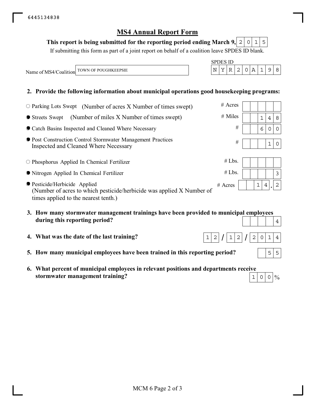#### This report is being submitted for the reporting period ending March 9,  $\mid$  2  $\mid$  0  $\mid$  1  $\mid$  5

If submitting this form as part of a joint report on behalf of a coalition leave SPDES ID blank.

Name of MS4/Coalition TOWN OF POUGHKEEPSIE  $N \mid Y \mid R \mid 2 \mid 0 \mid A \mid 1$  9 8

#### **2. Provide the following information about municipal operations good housekeeping programs:**

| $\circ$ Parking Lots Swept (Number of acres X Number of times swept)                                                                           | $#$ Acres |  |                                |             |                |
|------------------------------------------------------------------------------------------------------------------------------------------------|-----------|--|--------------------------------|-------------|----------------|
| (Number of miles X Number of times swept)<br>● Streets Swept                                                                                   | $#$ Miles |  | 1                              | 4           | 8              |
| • Catch Basins Inspected and Cleaned Where Necessary                                                                                           | #         |  | 6                              | 0           | $\Omega$       |
| ● Post Construction Control Stormwater Management Practices<br>Inspected and Cleaned Where Necessary                                           | #         |  |                                | $\mathbf 1$ | 0              |
| $\circ$ Phosphorus Applied In Chemical Fertilizer                                                                                              | #Lbs.     |  |                                |             |                |
| • Nitrogen Applied In Chemical Fertilizer                                                                                                      | #Lbs.     |  |                                |             | 3              |
| ● Pesticide/Herbicide Applied<br>(Number of acres to which pesticide/herbicide was applied X Number of<br>times applied to the nearest tenth.) | $#$ Acres |  | $\mathbf{1}$<br>$\overline{4}$ |             | $\overline{2}$ |

- **3. How many stormwater management trainings have been provided to municipal employees during this reporting period?**
- **4. What was the date of the last training?**
- **5. How many municipal employees have been trained in this reporting period?**
- **6. What percent of municipal employees in relevant positions and departments receive stormwater management training?**  $1|0|0|\%$



SPDES ID

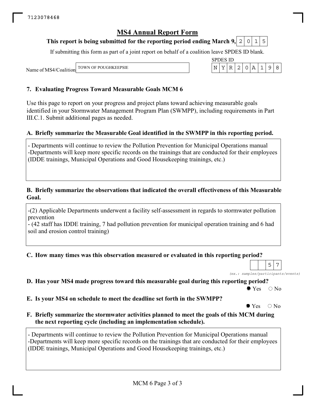#### This report is being submitted for the reporting period ending March 9,  $\mid$  2  $\mid$  0  $\mid$  1  $\mid$  5

If submitting this form as part of a joint report on behalf of a coalition leave SPDES ID blank.

SPDES ID

Name of MS4/Coalition TOWN OF POUGHKEEPSIE  $\vert N \vert Y \vert R \vert 2 \vert 0 \vert A \vert 1 \vert 9 \vert 8$ 

#### **7. Evaluating Progress Toward Measurable Goals MCM 6**

Use this page to report on your progress and project plans toward achieving measurable goals identified in your Stormwater Management Program Plan (SWMPP), including requirements in Part III.C.1. Submit additional pages as needed.

#### **A. Briefly summarize the Measurable Goal identified in the SWMPP in this reporting period.**

- Departments will continue to review the Pollution Prevention for Municipal Operations manual -Departments will keep more specific records on the trainings that are conducted for their employees (IDDE trainings, Municipal Operations and Good Housekeeping trainings, etc.)

#### **B. Briefly summarize the observations that indicated the overall effectiveness of this Measurable Goal.**

-(2) Applicable Departments underwent a facility self-assessment in regards to stormwater pollution prevention

- (42 staff has IDDE training, 7 had pollution prevention for municipal operation training and 6 had soil and erosion control training)

#### **C. How many times was this observation measured or evaluated in this reporting period?**

*(ex.: samples/participants/events)*  $5 \mid 7$ 

**D. Has your MS4 made progress toward this measurable goal during this reporting period?**

 $\bullet$  Yes  $\circ$  No

**E. Is your MS4 on schedule to meet the deadline set forth in the SWMPP?**

 $\bullet$  Yes  $\circ$  No

**F. Briefly summarize the stormwater activities planned to meet the goals of this MCM during the next reporting cycle (including an implementation schedule).**

- Departments will continue to review the Pollution Prevention for Municipal Operations manual -Departments will keep more specific records on the trainings that are conducted for their employees (IDDE trainings, Municipal Operations and Good Housekeeping trainings, etc.)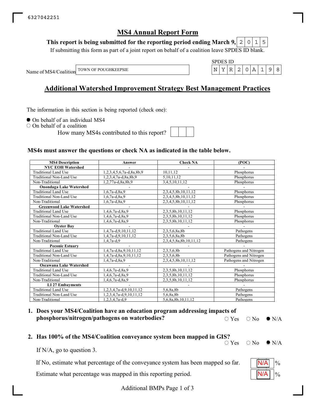#### This report is being submitted for the reporting period ending March 9,  $\mid$  2  $\mid$  0  $\mid$  1  $\mid$  5

If submitting this form as part of a joint report on behalf of a coalition leave SPDES ID blank.

Name of MS4/Coalition TOWN OF POUGHKEEPSIE  $\vert N \vert Y \vert R \vert 2 \vert 0 \vert A \vert 1 \vert 9 \vert 8$ 

## **Additional Watershed Improvement Strategy Best Management Practices**

The information in this section is being reported (check one):

 $\bullet$  On behalf of an individual MS4

On behalf of a coalition

How many MS4s contributed to this report?

SPDES ID

#### **MS4s must answer the questions or check NA as indicated in the table below.**

| <b>MS4 Description</b>          | Answer                   | <b>Check NA</b>        | (POC)                  |
|---------------------------------|--------------------------|------------------------|------------------------|
| <b>NYC EOH Watershed</b>        |                          |                        |                        |
| <b>Traditional Land Use</b>     | 1,2,3,4,5,6,7a-d,8a,8b,9 | 10,11,12               | Phosphorus             |
| Traditional Non-Land Use        | 1,2,3,4,7a-d,8a,8b,9     | 5,10,11,12             | Phosphorus             |
| Non-Traditional                 | 1,2,77a-d,8a,8b,9        | 3,4,5,10,11,12         | Phosphorus             |
| <b>Onondaga Lake Watershed</b>  |                          |                        |                        |
| <b>Traditional Land Use</b>     | $1,6,7a-d,8a,9$          | 2,3,4,5,8b,10,11,12    | Phosphorus             |
| Traditional Non-Land Use        | $1,6,7a-d,8a,9$          | 2,3,4,5,8b,10,11,12    | Phosphorus             |
| Non-Traditional                 | $1,6,7a-d,8a,9$          | 2,3,4,5,8b,10,11,12    | Phosphorus             |
| <b>Greenwood Lake Watershed</b> |                          |                        |                        |
| Traditional Land Use            | 1,4,6,7a-d,8a,9          | 2,3,5,8b,10,11,12      | Phosphorus             |
| Traditional Non-Land Use        | 1,4,6,7a-d,8a,9          | 2,3,5,8b,10,11,12      | Phosphorus             |
| Non-Traditional                 | $1,4,6,7a-d,8a,9$        | 2,3,5,8b,10,11,12      | Phosphorus             |
| <b>Oyster Bay</b>               |                          |                        |                        |
| Traditional Land Use            | 1,4,7a-d,9,10,11,12      | 2,3,5,6,8a,8b          | Pathogens              |
| Traditional Non-Land Use        | 1,4,7a-d,9,10,11,12      | 2,3,5,6,8a,8b          | Pathogens              |
| Non-Traditional                 | $1,4,7a-d,9$             | 2,3,4,5,8a,8b,10,11,12 | Pathogens              |
| <b>Peconic Estuary</b>          |                          |                        |                        |
| Traditional Land Use            | 1,4,7a-d,8a,9,10,11,12   | 2,3,5,6,8b             | Pathogens and Nitrogen |
| Traditional Non-Land Use        | 1,4,7a-d,8a,9,10,11,12   | 2,3,5,6,8b             | Pathogens and Nitrogen |
| Non-Traditional                 | $1,4,7a-d,8a,9$          | 2,3,4,5,8b,10,11,12    | Pathogens and Nitrogen |
| <b>Oscawana Lake Watershed</b>  |                          |                        |                        |
| Traditional Land Use            | 1,4,6,7a-d,8a,9          | 2,3,5,8b,10,11,12      | Phosphorus             |
| Traditional Non-Land Use        | 1,4,6,7a-d,8a,9          | 2,3,5,8b,10,11,12      | Phosphorus             |
| Non-Traditional                 | 1,4,6,7a-d,8a,9          | 2,3,5,8b,10,11,12      | Phosphorus             |
| <b>LI 27 Embayments</b>         |                          |                        |                        |
| <b>Traditional Land Use</b>     | 1,2,3,4,7a-d,9,10,11,12  | 5,6,8a,8b              | Pathogens              |
| Traditional Non-Land Use        | 1,2,3,4,7a-d,9,10,11,12  | 5,6,8a,8b              | Pathogens              |
| Non-Traditional                 | 1,2,3,4,7a-d,9           | 5,6,8a,8b,10,11,12     | Pathogens              |

#### **1. Does your MS4/Coalition have an education program addressing impacts of phosphorus/nitrogen/pathogens on waterbodies?**  $\bigcirc$  Yes  $\bigcirc$  No  $\bigcirc$  N/A

# **2. Has 100% of the MS4/Coalition conveyance system been mapped in GIS?**

 $\bigcirc$  No  $\bigcirc$  N/A

If N/A, go to question 3.

If No, estimate what percentage of the conveyance system has been mapped so far.

Estimate what percentage was mapped in this reporting period.



Additional BMPs Page 1 of 3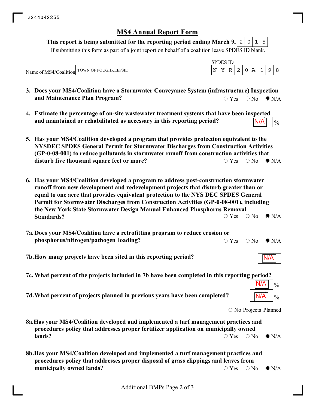#### This report is being submitted for the reporting period ending March 9, $\mid$  2  $\mid$  0  $\mid$  1  $\mid$  5

If submitting this form as part of a joint report on behalf of a coalition leave SPDES ID blank.

Name of MS4/Coalition TOWN OF POUGHKEEPSIE

| v. |  |  |  |  |
|----|--|--|--|--|
|    |  |  |  |  |

- **3. Does your MS4/Coalition have a Stormwater Conveyance System (infrastructure) Inspection and Maintenance Plan Program?**  $\bigcirc$  Yes  $\bigcirc$  No  $\bigcirc$  N/A
- **4. Estimate the percentage of on-site wastewater treatment systems that have been inspected** and maintained or rehabilitated as necessary in this reporting period?  $\sqrt{\frac{N}{A}}$  |  $\frac{N}{4}$ N//
- **5. Has your MS4/Coalition developed a program that provides protection equivalent to the NYSDEC SPDES General Permit for Stormwater Discharges from Construction Activities (GP-0-08-001) to reduce pollutants in stormwater runoff from construction activities that disturb five thousand square feet or more?**  $\bigcirc$  Yes  $\bigcirc$  No  $\bigcirc$  N/A
- **6. Has your MS4/Coalition developed a program to address post-construction stormwater runoff from new development and redevelopment projects that disturb greater than or equal to one acre that provides equivalent protection to the NYS DEC SPDES General Permit for Stormwater Discharges from Construction Activities (GP-0-08-001), including the New York State Stormwater Design Manual Enhanced Phosphorus Removal Standards?**  $\circ$  Yes  $\circ$  No  $\bullet$  N/A
- **7a. Does your MS4/Coalition have a retrofitting program to reduce erosion or phosphorus/nitrogen/pathogen loading?**  $\circ$  Yes  $\circ$  No  $\bullet$  N/A
- **7b.How many projects have been sited in this reporting period?**
- **7c. What percent of the projects included in 7b have been completed in this reporting period?**
- **7d. What percent of projects planned in previous years have been completed?**  $\sqrt{\frac{N}{A}} \sqrt{\frac{9}{6}}$

O No Projects Planned

N/A

N/A

 $\frac{0}{0}$ 

N/A

- **8a.Has your MS4/Coalition developed and implemented a turf management practices and procedures policy that addresses proper fertilizer application on municipally owned lands?**  $\bigcirc$  Yes  $\bigcirc$  No  $\bigcirc$  N/A
- **8b.Has your MS4/Coalition developed and implemented a turf management practices and procedures policy that addresses proper disposal of grass clippings and leaves from municipally owned lands?**  $\circ$  Yes  $\circ$  No  $\bullet$  N/A